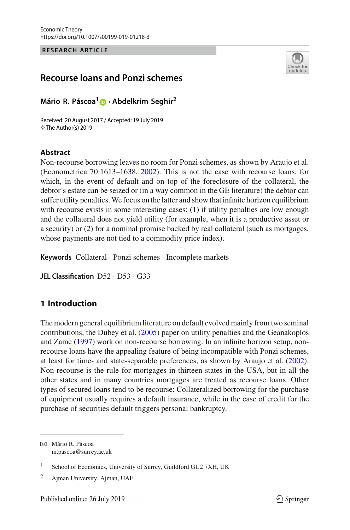**RESEARCH ARTICLE**



# **Recourse loans and Ponzi schemes**

**Mário R. Páscoa[1](http://orcid.org/0000-0001-5654-1525) · Abdelkrim Seghir<sup>2</sup>**

Received: 20 August 2017 / Accepted: 19 July 2019 © The Author(s) 2019

# **Abstract**

Non-recourse borrowing leaves no room for Ponzi schemes, as shown by Araujo et al. (Econometrica 70:1613–1638, [2002\)](#page-22-0). This is not the case with recourse loans, for which, in the event of default and on top of the foreclosure of the collateral, the debtor's estate can be seized or (in a way common in the GE literature) the debtor can suffer utility penalties.We focus on the latter and show that infinite horizon equilibrium with recourse exists in some interesting cases: (1) if utility penalties are low enough and the collateral does not yield utility (for example, when it is a productive asset or a security) or (2) for a nominal promise backed by real collateral (such as mortgages, whose payments are not tied to a commodity price index).

**Keywords** Collateral · Ponzi schemes · Incomplete markets

**JEL Classification** D52 · D53 · G33

# **1 Introduction**

The modern general equilibrium literature on default evolved mainly from two seminal contributions, the Dubey et al[.](#page-23-0) [\(2005](#page-23-0)) paper on utility penalties and the Geanakoplos and Zam[e](#page-23-1) [\(1997\)](#page-23-1) work on non-recourse borrowing. In an infinite horizon setup, nonrecourse loans have the appealing feature of being incompatible with Ponzi schemes, at least for time- and state-separable preferences, as shown by Araujo et al[.](#page-22-0) [\(2002](#page-22-0)). Non-recourse is the rule for mortgages in thirteen states in the USA, but in all the other states and in many countries mortgages are treated as recourse loans. Other types of secured loans tend to be recourse: Collateralized borrowing for the purchase of equipment usually requires a default insurance, while in the case of credit for the purchase of securities default triggers personal bankruptcy.

B Mário R. Páscoa m.pascoa@surrey.ac.uk

<sup>&</sup>lt;sup>1</sup> School of Economics, University of Surrey, Guildford GU2 7XH, UK

<sup>2</sup> Ajman University, Ajman, UAE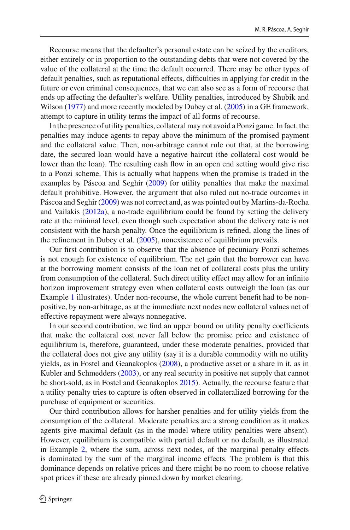Recourse means that the defaulter's personal estate can be seized by the creditors, either entirely or in proportion to the outstanding debts that were not covered by the value of the collateral at the time the default occurred. There may be other types of default penalties, such as reputational effects, difficulties in applying for credit in the future or even criminal consequences, that we can also see as a form of recourse that ends up affecting the defaulter's welfare. Utility penalties, introduced by Shubik and Wilso[n](#page-23-2) [\(1977](#page-23-2)) and more recently modeled by Dubey et al[.](#page-23-0) [\(2005\)](#page-23-0) in a GE framework, attempt to capture in utility terms the impact of all forms of recourse.

In the presence of utility penalties, collateral may not avoid a Ponzi game. In fact, the penalties may induce agents to repay above the minimum of the promised payment and the collateral value. Then, non-arbitrage cannot rule out that, at the borrowing date, the secured loan would have a negative haircut (the collateral cost would be lower than the loan). The resulting cash flow in an open end setting would give rise to a Ponzi scheme. This is actually what happens when the promise is traded in the examples by Páscoa and Seghi[r](#page-23-3) [\(2009](#page-23-3)) for utility penalties that make the maximal default prohibitive. However, the argument that also ruled out no-trade outcomes in Páscoa and Seghi[r](#page-23-3) [\(2009\)](#page-23-3) was not correct and, as was pointed out by Martins-da-Rocha and Vailaki[s](#page-23-4) [\(2012a](#page-23-4)), a no-trade equilibrium could be found by setting the delivery rate at the minimal level, even though such expectation about the delivery rate is not consistent with the harsh penalty. Once the equilibrium is refined, along the lines of the refinement in Dubey et al[.](#page-23-0) [\(2005\)](#page-23-0), nonexistence of equilibrium prevails.

Our first contribution is to observe that the absence of pecuniary Ponzi schemes is not enough for existence of equilibrium. The net gain that the borrower can have at the borrowing moment consists of the loan net of collateral costs plus the utility from consumption of the collateral. Such direct utility effect may allow for an infinite horizon improvement strategy even when collateral costs outweigh the loan (as our Example [1](#page-8-0) illustrates). Under non-recourse, the whole current benefit had to be nonpositive, by non-arbitrage, as at the immediate next nodes new collateral values net of effective repayment were always nonnegative.

In our second contribution, we find an upper bound on utility penalty coefficients that make the collateral cost never fall below the promise price and existence of equilibrium is, therefore, guaranteed, under these moderate penalties, provided that the collateral does not give any utility (say it is a durable commodity with no utility yields, as in Fostel and Geanakoplo[s](#page-23-5) [\(2008](#page-23-5)), a productive asset or a share in it, as in Kubler and Schmedder[s](#page-23-6) [\(2003](#page-23-6)), or any real security in positive net supply that cannot be short-sold, as in Fostel and Geanakoplo[s](#page-23-7) [2015\)](#page-23-7). Actually, the recourse feature that a utility penalty tries to capture is often observed in collateralized borrowing for the purchase of equipment or securities.

Our third contribution allows for harsher penalties and for utility yields from the consumption of the collateral. Moderate penalties are a strong condition as it makes agents give maximal default (as in the model where utility penalties were absent). However, equilibrium is compatible with partial default or no default, as illustrated in Example [2,](#page-12-0) where the sum, across next nodes, of the marginal penalty effects is dominated by the sum of the marginal income effects. The problem is that this dominance depends on relative prices and there might be no room to choose relative spot prices if these are already pinned down by market clearing.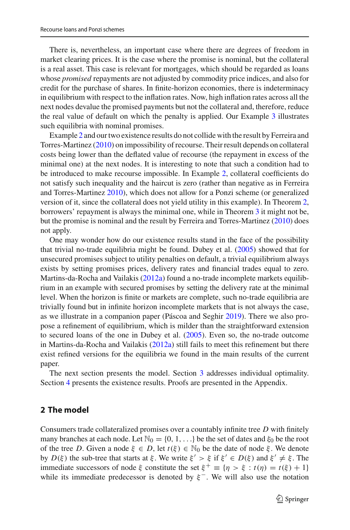There is, nevertheless, an important case where there are degrees of freedom in market clearing prices. It is the case where the promise is nominal, but the collateral is a real asset. This case is relevant for mortgages, which should be regarded as loans whose *promised* repayments are not adjusted by commodity price indices, and also for credit for the purchase of shares. In finite-horizon economies, there is indeterminacy in equilibrium with respect to the inflation rates. Now, high inflation rates across all the next nodes devalue the promised payments but not the collateral and, therefore, reduce the real value of default on which the penalty is applied. Our Example [3](#page-15-0) illustrates such equilibria with nominal promises.

Example [2](#page-12-0) and our two existence results do not collide with the result by Ferreira and Torres-Martine[z](#page-23-8) [\(2010](#page-23-8)) on impossibility of recourse. Their result depends on collateral costs being lower than the deflated value of recourse (the repayment in excess of the minimal one) at the next nodes. It is interesting to note that such a condition had to be introduced to make recourse impossible. In Example [2,](#page-12-0) collateral coefficients do not satisfy such inequality and the haircut is zero (rather than negative as in Ferreira and Torres-Martine[z](#page-23-8) [2010](#page-23-8)), which does not allow for a Ponzi scheme (or generalized version of it, since the collateral does not yield utility in this example). In Theorem [2,](#page-10-0) borrowers' repayment is always the minimal one, while in Theorem [3](#page-14-0) it might not be, but the promise is nominal and the result by Ferreira and Torres-Martine[z](#page-23-8) [\(2010](#page-23-8)) does not apply.

One may wonder how do our existence results stand in the face of the possibility that trivial no-trade equilibria might be found. Dubey et al[.](#page-23-0) [\(2005](#page-23-0)) showed that for unsecured promises subject to utility penalties on default, a trivial equilibrium always exists by setting promises prices, delivery rates and financial trades equal to zero. Martin[s](#page-23-4)-da-Rocha and Vailakis [\(2012a\)](#page-23-4) found a no-trade incomplete markets equilibrium in an example with secured promises by setting the delivery rate at the minimal level. When the horizon is finite or markets are complete, such no-trade equilibria are trivially found but in infinite horizon incomplete markets that is not always the case, as we illustrate in a companion paper (Páscoa and Seghi[r](#page-23-9) [2019](#page-23-9)). There we also propose a refinement of equilibrium, which is milder than the straightforward extension to secured loans of the one in Dubey et al[.](#page-23-0) [\(2005\)](#page-23-0). Even so, the no-trade outcome in Martins-da-Rocha and Vailaki[s](#page-23-4) [\(2012a](#page-23-4)) still fails to meet this refinement but there exist refined versions for the equilibria we found in the main results of the current paper.

The next section presents the model. Section [3](#page-5-0) addresses individual optimality. Section [4](#page-10-1) presents the existence results. Proofs are presented in the Appendix.

# <span id="page-2-0"></span>**2 The model**

Consumers trade collateralized promises over a countably infinite tree *D* with finitely many branches at each node. Let  $\mathbb{N}_0 = \{0, 1, \ldots\}$  be the set of dates and  $\xi_0$  be the root of the tree *D*. Given a node  $\xi \in D$ , let  $t(\xi) \in \mathbb{N}_0$  be the date of node  $\xi$ . We denote by  $D(\xi)$  the sub-tree that starts at  $\xi$ . We write  $\xi' > \xi$  if  $\xi' \in D(\xi)$  and  $\xi' \neq \xi$ . The immediate successors of node  $\xi$  constitute the set  $\xi^+ \equiv \{\eta > \xi : t(\eta) = t(\xi) + 1\}$ while its immediate predecessor is denoted by  $\xi^-$ . We will also use the notation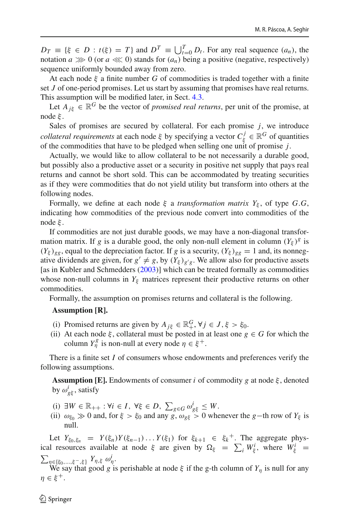$D_T \equiv \{\xi \in D : t(\xi) = T\}$  and  $D^T \equiv \bigcup_{t=0}^T D_t$ . For any real sequence  $(a_n)$ , the notation  $a \ggg 0$  (or  $a \llg 0$ ) stands for  $(a_n)$  being a positive (negative, respectively) sequence uniformly bounded away from zero.

At each node  $\xi$  a finite number G of commodities is traded together with a finite set *J* of one-period promises. Let us start by assuming that promises have real returns. This assumption will be modified later, in Sect. [4.3.](#page-14-1)

Let  $A_{jk} \in \mathbb{R}^G$  be the vector of *promised real returns*, per unit of the promise, at node ξ .

Sales of promises are secured by collateral. For each promise *j*, we introduce *collateral requirements* at each node  $\xi$  by specifying a vector  $C_{\xi}^{j} \in \mathbb{R}^{G}$  of quantities of the commodities that have to be pledged when selling one unit of promise *j*.

Actually, we would like to allow collateral to be not necessarily a durable good, but possibly also a productive asset or a security in positive net supply that pays real returns and cannot be short sold. This can be accommodated by treating securities as if they were commodities that do not yield utility but transform into others at the following nodes.

Formally, we define at each node  $\xi$  a *transformation matrix Y<sub>ξ</sub>*, of type *G*.*G*, indicating how commodities of the previous node convert into commodities of the node ξ .

If commodities are not just durable goods, we may have a non-diagonal transformation matrix. If *g* is a durable good, the only non-null element in column  $(Y_{\xi})^g$  is  $(Y_{\xi})_{gg}$ , equal to the depreciation factor. If *g* is a security,  $(Y_{\xi})_{gg} = 1$  and, its nonnegative dividends are given, for  $g' \neq g$ , by  $(Y_{\xi})_{g'g}$ . We allow also for productive assets [as in Kubler and Schmedder[s](#page-23-6) [\(2003\)](#page-23-6)] which can be treated formally as commodities whose non-null columns in  $Y_{\xi}$  matrices represent their productive returns on other commodities.

Formally, the assumption on promises returns and collateral is the following.

## **Assumption [R].**

- (i) Promised returns are given by  $A_{j\xi} \in \mathbb{R}^G_+$ ,  $\forall j \in J, \xi > \xi_0$ .
- (ii) At each node  $\xi$ , collateral must be posted in at least one  $g \in G$  for which the column  $Y_{\eta}^{g}$  is non-null at every node  $\eta \in \xi^{+}$ .

There is a finite set *I* of consumers whose endowments and preferences verify the following assumptions.

**Assumption [E].** Endowments of consumer *i* of commodity *g* at node  $\xi$ , denoted by  $\omega_{g\xi}^i$ , satisfy

- (i)  $\exists W \in \mathbb{R}_{++} : \forall i \in I, \forall \xi \in D, \sum_{g \in G} \omega_{g\xi}^i \leq W.$
- (ii)  $\omega_{\xi_0} \gg 0$  and, for  $\xi > \xi_0$  and any  $g, \omega_{g\xi} > 0$  whenever the *g*−th row of  $Y_{\xi}$  is null.

Let  $Y_{\xi_0,\xi_n} = Y(\xi_n)Y(\xi_{n-1})\ldots Y(\xi_1)$  for  $\xi_{k+1} \in \xi_k^+$ . The aggregate physical resources available at node  $\xi$  are given by  $\Omega_{\xi} = \sum_{i} W_{\xi}^{i}$ , where  $W_{\xi}^{i} =$  $\sum_{\eta \in \{\xi_0, ..., \xi^-, \xi\}} Y_{\eta, \xi} \omega_{\eta}^i$ .

We say that good *g* is perishable at node  $\xi$  if the g-th column of  $Y_\eta$  is null for any  $\eta \in \xi^+$ .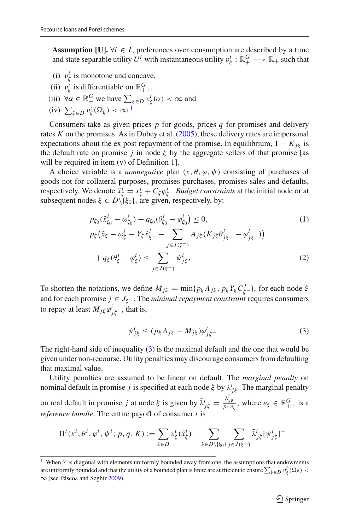**Assumption [U].**  $\forall i \in I$ , preferences over consumption are described by a time and state separable utility  $U^i$  with instantaneous utility  $v^i_\xi : \mathbb{R}^G_+ \longrightarrow \mathbb{R}_+$  such that

- (i)  $v_{\xi}^{i}$  is monotone and concave,
- (ii)  $v_{\xi}^{i}$  is differentiable on  $\mathbb{R}^{G}_{++}$ ,
- (iii)  $\forall \alpha \in \mathbb{R}^G_+$  we have  $\sum_{\xi \in D} v_{\xi}^i(\alpha) < \infty$  and
- (iv)  $\sum_{\xi \in D} v_{\xi}^i(\Omega_{\xi}) < \infty$ .<sup>[1](#page-4-0)</sup>

Consumers take as given prices *p* for goods, prices *q* for promises and delivery rates *K* on the promises. As in Dubey et al[.](#page-23-0) [\(2005](#page-23-0)), these delivery rates are impersonal expectations about the ex post repayment of the promise. In equilibrium,  $1 - K_{i\xi}$  is the default rate on promise *j* in node  $\xi$  by the aggregate sellers of that promise [as will be required in item (v) of Definition 1].

A choice variable is a *nonnegative* plan  $(x, \theta, \varphi, \psi)$  consisting of purchases of goods not for collateral purposes, promises purchases, promises sales and defaults, respectively. We denote  $\tilde{x}^i_{\xi} = x^i_{\xi} + C_{\xi} \varphi^i_{\xi}$ . *Budget constraints* at the initial node or at subsequent nodes  $\xi \in D \backslash {\{\xi_0\}}$ , are given, respectively, by:

<span id="page-4-2"></span>
$$
p_{\xi_0}(\tilde{x}_{\xi_0}^i - \omega_{\xi_0}^i) + q_{\xi_0}(\theta_{\xi_0}^i - \varphi_{\xi_0}^i) \le 0,
$$
\n
$$
p_{\xi}(\tilde{x}_{\xi} - \omega_{\xi}^i - Y_{\xi}\tilde{x}_{\xi^-}^i - \sum_{j \in J(\xi^-)} A_{j\xi}(K_{j\xi}\theta_{j\xi^-}^i - \varphi_{j\xi^-}^i))
$$
\n
$$
+ q_{\xi}(\theta_{\xi}^i - \varphi_{\xi}^i) \le \sum_{j \in J(\xi^-)} \psi_{j\xi}^i,
$$
\n(2)

To shorten the notations, we define  $M_{j\xi} = \min\{p_{\xi}A_{j\xi}, p_{\xi}Y_{\xi}C_{\xi}^{j}\}\$ , for each node  $\xi$ and for each promise  $j \in J_{\xi^-}$ . The *minimal repayment constraint* requires consumers to repay at least  $M_{j\xi}\varphi_{j\xi}^i$ , that is,

<span id="page-4-1"></span>
$$
\psi_{j\xi}^i \le (p_{\xi} A_{j\xi} - M_{j\xi}) \varphi_{j\xi}^i \tag{3}
$$

The right-hand side of inequality  $(3)$  is the maximal default and the one that would be given under non-recourse. Utility penalties may discourage consumers from defaulting that maximal value.

Utility penalties are assumed to be linear on default. The *marginal penalty* on nominal default in promise *j* is specified at each node  $\xi$  by  $\lambda^i_{j\xi}$ . The marginal penalty on real default in promise *j* at node  $\xi$  is given by  $\tilde{\lambda}^i_{j\xi} = \frac{\lambda^i_{j\xi}}{p_{\xi}e_{\xi}}$ , where  $e_{\xi} \in \mathbb{R}^G_{++}$  is a *reference bundle*. The entire payoff of consumer *i* is

$$
\Pi^{i}(x^{i},\theta^{i},\varphi^{i},\psi^{i}; p, q, K) := \sum_{\xi \in D} v_{\xi}^{i}(\tilde{x}_{\xi}^{i}) - \sum_{\xi \in D \setminus \{\xi_{0}\}} \sum_{j \in J(\xi^{-})} \tilde{\lambda}_{j\xi}^{i} [\psi_{j\xi}^{i}]^{+}
$$

<span id="page-4-0"></span><sup>&</sup>lt;sup>1</sup> When *Y* is diagonal with elements uniformly bounded away from one, the assumptions that endowments are uniformly bounded and that the utility of a bounded plan is finite are sufficient to ensure  $\sum_{\xi \in D} v_{\xi}^{i}(\Omega_{\xi})$ ∞ (see Páscoa and Seghi[r](#page-23-3) [2009\)](#page-23-3).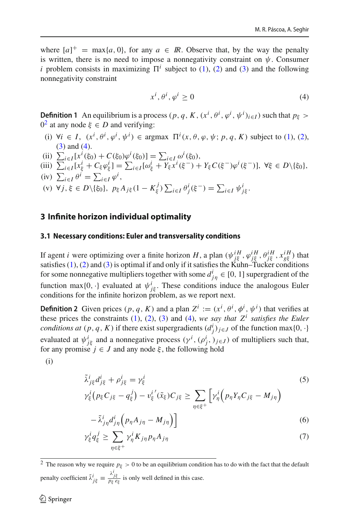where  $[a]^+$  = max $\{a, 0\}$ , for any  $a \in \mathbb{R}$ . Observe that, by the way the penalty is written, there is no need to impose a nonnegativity constraint on  $\psi$ . Consumer *i* problem consists in maximizing  $\Pi^i$  subject to [\(1\)](#page-4-2), [\(2\)](#page-4-2) and [\(3\)](#page-4-1) and the following nonnegativity constraint

<span id="page-5-2"></span>
$$
x^i, \theta^i, \varphi^i \ge 0 \tag{4}
$$

<span id="page-5-4"></span>**Definition 1** An equilibrium is a process  $(p, q, K, (x^i, \theta^i, \varphi^i, \psi^i)_{i \in I})$  such that  $p_{\xi} >$  $0^2$  $0^2$  at any node  $\xi \in D$  and verifying:

- (i)  $\forall i \in I$ ,  $(x^i, \theta^i, \varphi^i, \psi^i) \in \text{argmax } \Pi^i(x, \theta, \varphi, \psi; p, q, K)$  subject to [\(1\)](#page-4-2), [\(2\)](#page-4-2), [\(3\)](#page-4-1) and [\(4\)](#page-5-2).
- (ii)  $\sum_{i \in I} [x^i(\xi_0) + C(\xi_0)\varphi^i(\xi_0)] = \sum_{i \in I} \omega^i(\xi_0),$
- (iii)  $\sum_{i \in I} [x_{\xi}^{i} + C_{\xi} \varphi_{\xi}^{i}] = \sum_{i \in I} [\omega_{\xi}^{i} + Y_{\xi} x^{i} (\xi^{-}) + Y_{\xi} C(\xi^{-}) \varphi^{i} (\xi^{-})], \forall \xi \in D \setminus \{\xi_{0}\},\}$
- (iv)  $\sum_{i \in I} \theta^i = \sum_{i \in I} \varphi^i$ ,
- $(v) \ \forall j, \xi \in D \setminus \{\xi_0\}, \ p_{\xi} A_{j\xi} (1 K_{\xi}^j) \sum_{i \in I} \theta_j^i(\xi^-) = \sum_{i \in I} \psi_{j\xi}^i.$

# <span id="page-5-0"></span>**3 Infinite horizon individual optimality**

#### **3.1 Necessary conditions: Euler and transversality conditions**

If agent *i* were optimizing over a finite horizon *H*, a plan  $(\psi_{j\xi}^{iH}, \varphi_{j\xi}^{iH}, \theta_{j\xi}^{iH}, x_{g\xi}^{iH})$  that satisfies [\(1\)](#page-4-2), [\(2\)](#page-4-2) and [\(3\)](#page-4-1) is optimal if and only if it satisfies the Kuhn–Tucker conditions for some nonnegative multipliers together with some  $d_{j\eta}^i \in [0, 1]$  supergradient of the function max $\{0, \cdot\}$  evaluated at  $\psi^i_{j\xi}$ . These conditions induce the analogous Euler conditions for the infinite horizon problem, as we report next.

**Definition 2** Given prices  $(p, q, K)$  and a plan  $Z^i := (x^i, \theta^i, \phi^i, \psi^i)$  that verifies at these prices the constraints [\(1\)](#page-4-2), [\(2\)](#page-4-2), [\(3\)](#page-4-1) and [\(4\)](#page-5-2), *we say that Z<sup>i</sup> satisfies the Euler conditions at*  $(p, q, K)$  if there exist supergradients  $(d_j^i)_{j \in J}$  of the function max $\{0, \cdot\}$ evaluated at  $\psi^i_{j\xi}$  and a nonnegative process  $(\gamma^i, (\rho^i_j, )_{j \in J})$  of multipliers such that, for any promise  $j \in J$  and any node  $\xi$ , the following hold

(i)

<span id="page-5-3"></span>
$$
\tilde{\lambda}_{j\xi}^i d_{j\xi}^i + \rho_{j\xi}^i = \gamma_{\xi}^i
$$
\n
$$
\gamma_{\xi}^i (p_{\xi} C_{j\xi} - q_{\xi}^j) - v_{\xi}^{i'} (\tilde{x}_{\xi}) C_{j\xi} \ge \sum_{\eta \in \xi^+} \left[ \gamma_{\eta}^i (p_{\eta} Y_{\eta} C_{j\xi} - M_{j\eta}) \right]
$$
\n(5)

$$
-\tilde{\lambda}_{j\eta}^{i}d_{j\eta}^{i}\left(p_{\eta}A_{j\eta}-M_{j\eta}\right)\right]
$$
\n(6)

$$
\gamma_{\xi}^{i} q_{\xi}^{j} \ge \sum_{\eta \in \xi^{+}} \gamma_{\eta}^{i} K_{j\eta} p_{\eta} A_{j\eta} \tag{7}
$$

<span id="page-5-1"></span><sup>2</sup> The reason why we require  $p_{\xi} > 0$  to be an equilibrium condition has to do with the fact that the default penalty coefficient  $\tilde{\lambda}^i_{j\xi} \equiv \frac{\lambda^i_{j\xi}}{p_{\xi}e_{\xi}}$  is only well defined in this case.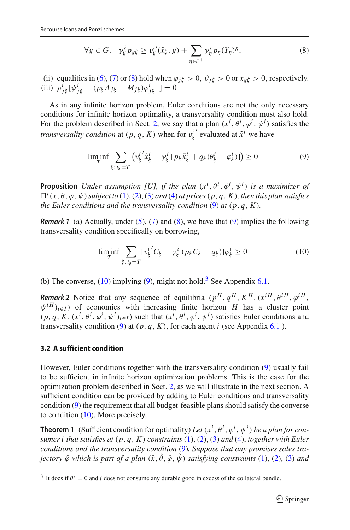$$
\forall g \in G, \quad \gamma_{\xi}^{i} p_{g\xi} \ge v_{\xi}^{i'}(\tilde{x}_{\xi}, g) + \sum_{\eta \in \xi^{+}} \gamma_{\eta}^{i} p_{\eta}(Y_{\eta})^{g}, \tag{8}
$$

(ii) equalities in [\(6\)](#page-5-3), [\(7\)](#page-5-3) or [\(8\)](#page-5-3) hold when  $\varphi_{i\xi} > 0$ ,  $\theta_{i\xi} > 0$  or  $x_{g\xi} > 0$ , respectively. (iii)  $\rho^i_{j\xi} [\psi^i_{j\xi} - (p_{\xi} A_{j\xi} - M_{j\xi}) \varphi^i_{j\xi} ] = 0$ 

As in any infinite horizon problem, Euler conditions are not the only necessary conditions for infinite horizon optimality, a transversality condition must also hold. For the problem described in Sect. [2,](#page-2-0) we say that a plan  $(x^i, \theta^i, \varphi^i, \psi^i)$  satisfies the *transversality condition* at  $(p, q, K)$  when for  $v_{\xi}^{i'}$  evaluated at  $\tilde{x}^{i}$  we have

<span id="page-6-0"></span>
$$
\liminf_{T} \sum_{\xi: t_{\xi} = T} \left( v_{\xi}^{i'} \tilde{x}_{\xi}^{i} - \gamma_{\xi}^{i} \left[ p_{\xi} \tilde{x}_{\xi}^{i} + q_{\xi} (\theta_{\xi}^{i} - \varphi_{\xi}^{i}) \right] \right) \ge 0
$$
\n(9)

**Proposition** *Under assumption* [U], if the plan  $(x^{i}, \theta^{i}, \phi^{i}, \psi^{i})$  is a maximizer of  $\Pi^{i}(x, \theta, \varphi, \psi)$  *subject to* [\(1\)](#page-4-2), [\(2\)](#page-4-2), [\(3\)](#page-4-1) *and* [\(4\)](#page-5-2) *at prices* (*p*, *q*, *K*), *then this plan satisfies the Euler conditions and the transversality condition*  $(9)$  *at*  $(p, q, K)$ *.* 

<span id="page-6-4"></span>*Remark 1* (a) Actually, under  $(5)$ ,  $(7)$  and  $(8)$ , we have that  $(9)$  implies the following transversality condition specifically on borrowing,

<span id="page-6-1"></span>
$$
\liminf_{T} \sum_{\xi: t_{\xi}=T} [v_{\xi}^{i'} C_{\xi} - \gamma_{\xi}^{i} (p_{\xi} C_{\xi} - q_{\xi})] \varphi_{\xi}^{i} \ge 0
$$
\n(10)

(b) The converse,  $(10)$  implying  $(9)$ , might not hold.<sup>3</sup> See Appendix [6.1.](#page-16-0)

<span id="page-6-5"></span>*Remark 2* Notice that any sequence of equilibria  $(p^H, q^H, K^H, (x^{iH}, \theta^{iH}, \phi^{iH},$  $\psi^{iH}$ <sub>i∈*I*</sub>) of economies with increasing finite horizon *H* has a cluster point  $(p, q, K, (x^i, \theta^i, \phi^i, \psi^i)_{i \in I})$  such that  $(x^i, \theta^i, \phi^i, \psi^i)$  satisfies Euler conditions and transversality condition [\(9\)](#page-6-0) at  $(p, q, K)$ , for each agent *i* (see Appendix [6.1](#page-16-0)).

### **3.2 A sufficient condition**

However, Euler conditions together with the transversality condition [\(9\)](#page-6-0) usually fail to be sufficient in infinite horizon optimization problems. This is the case for the optimization problem described in Sect. [2,](#page-2-0) as we will illustrate in the next section. A sufficient condition can be provided by adding to Euler conditions and transversality condition [\(9\)](#page-6-0) the requirement that all budget-feasible plans should satisfy the converse to condition [\(10\)](#page-6-1). More precisely,

<span id="page-6-3"></span>**Theorem 1** (Sufficient condition for optimality) *Let*  $(x^i, \theta^i, \varphi^i, \psi^i)$  *be a plan for consumer i that satisfies at* (*p*, *q*, *K*) *constraints* [\(1\)](#page-4-2), [\(2\)](#page-4-2), [\(3\)](#page-4-1) *and* [\(4\)](#page-5-2), *together with Euler conditions and the transversality condition* [\(9\)](#page-6-0)*. Suppose that any promises sales trajectory*  $\hat{\varphi}$  *which is part of a plan*  $(\hat{x}, \hat{\theta}, \hat{\varphi}, \hat{\psi})$  *satisfying constraints* [\(1\)](#page-4-2), [\(2\)](#page-4-2), [\(3\)](#page-4-1) *and* 

<span id="page-6-2"></span><sup>&</sup>lt;sup>3</sup> It does if  $\theta$ <sup>*i*</sup> = 0 and *i* does not consume any durable good in excess of the collateral bundle.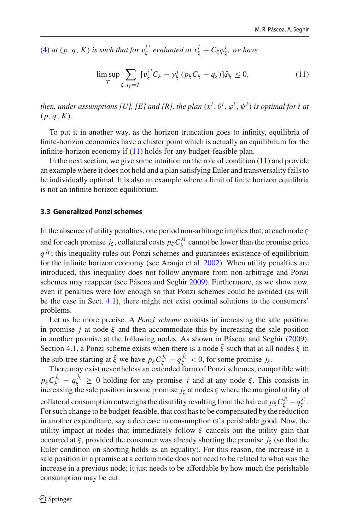[\(4\)](#page-5-2) *at*  $(p, q, K)$  *is such that for*  $v_{\xi}^{i'}$  *evaluated at*  $x_{\xi}^{i} + C_{\xi} \varphi_{\xi}^{i}$ *, we have* 

<span id="page-7-0"></span>
$$
\lim_{T} \sup_{\xi: t_{\xi} = T} \sum_{k} [v_{\xi}^{i'} C_{\xi} - \gamma_{\xi}^{i} (p_{\xi} C_{\xi} - q_{\xi})] \hat{\varphi}_{\xi} \le 0,
$$
\n(11)

then, under assumptions [U], [E] and [R], the plan  $(x^{i},\theta^{i},\varphi^{i},\psi^{i})$  is optimal for i at  $(p, q, K)$ .

To put it in another way, as the horizon truncation goes to infinity, equilibria of finite-horizon economies have a cluster point which is actually an equilibrium for the infinite-horizon economy if [\(11\)](#page-7-0) holds for any budget-feasible plan.

In the next section, we give some intuition on the role of condition [\(11\)](#page-7-0) and provide an example where it does not hold and a plan satisfying Euler and transversality fails to be individually optimal. It is also an example where a limit of finite horizon equilibria is not an infinite horizon equilibrium.

### **3.3 Generalized Ponzi schemes**

In the absence of utility penalties, one period non-arbitrage implies that, at each node  $\xi$ and for each promise  $j_{\xi}$ , collateral costs  $p_{\xi} C_{\xi}^{j_{\xi}}$  cannot be lower than the promise price  $q^{j_{\xi}}$ ; this inequality rules out Ponzi schemes and guarantees existence of equilibrium for the infinite horizon economy (see Araujo et al[.](#page-22-0) [2002\)](#page-22-0). When utility penalties are introduced, this inequality does not follow anymore from non-arbitrage and Ponzi schemes may reappear (see Páscoa and Seghi[r](#page-23-3) [2009\)](#page-23-3). Furthermore, as we show now, even if penalties were low enough so that Ponzi schemes could be avoided (as will be the case in Sect. [4.1\)](#page-10-2), there might not exist optimal solutions to the consumers' problems.

Let us be more precise. A *Ponzi scheme* consists in increasing the sale position in promise *j* at node  $\xi$  and then accommodate this by increasing the sale position in another promise at the following nodes. As shown in Páscoa and Seghi[r](#page-23-3) [\(2009](#page-23-3)), Section 4.1, a Ponzi scheme exists when there is a node  $\tilde{\xi}$  such that at all nodes  $\xi$  in the sub-tree starting at  $\tilde{\xi}$  we have  $p_{\xi} C_{\xi}^{j_{\xi}} - q_{\xi}^{j_{\xi}} < 0$ , for some promise  $j_{\xi}$ .

There may exist nevertheless an extended form of Ponzi schemes, compatible with  $p_{\xi}C_{\xi}^{j_{\xi}}-q_{\xi}^{j_{\xi}} \geq 0$  holding for any promise *j* and at any node ξ. This consists in increasing the sale position in some promise  $j_{\xi}$  at nodes  $\xi$  where the marginal utility of collateral consumption outweighs the disutility resulting from the haircut  $p_{\xi} C_{\xi}^{j_{\xi}} - q_{\xi}^{j_{\xi}}$ . For such change to be budget-feasible, that cost has to be compensated by the reduction in another expenditure, say a decrease in consumption of a perishable good. Now, the utility impact at nodes that immediately follow  $\xi$  cancels out the utility gain that occurred at  $\xi$ , provided the consumer was already shorting the promise  $j_{\xi}$  (so that the Euler condition on shorting holds as an equality). For this reason, the increase in a sale position in a promise at a certain node does not need to be related to what was the increase in a previous node; it just needs to be affordable by how much the perishable consumption may be cut.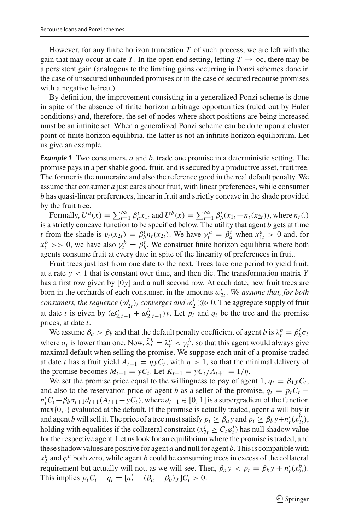However, for any finite horizon truncation *T* of such process, we are left with the gain that may occur at date *T*. In the open end setting, letting  $T \to \infty$ , there may be a persistent gain (analogous to the limiting gains occurring in Ponzi schemes done in the case of unsecured unbounded promises or in the case of secured recourse promises with a negative haircut).

By definition, the improvement consisting in a generalized Ponzi scheme is done in spite of the absence of finite horizon arbitrage opportunities (ruled out by Euler conditions) and, therefore, the set of nodes where short positions are being increased must be an infinite set. When a generalized Ponzi scheme can be done upon a cluster point of finite horizon equilibria, the latter is not an infinite horizon equilibrium. Let us give an example.

<span id="page-8-0"></span>*Example 1* Two consumers, *a* and *b*, trade one promise in a deterministic setting. The promise pays in a perishable good, fruit, and is secured by a productive asset, fruit tree. The former is the numeraire and also the reference good in the real default penalty. We assume that consumer *a* just cares about fruit, with linear preferences, while consumer *b* has quasi-linear preferences, linear in fruit and strictly concave in the shade provided by the fruit tree.

Formally,  $U^a(x) = \sum_{t=1}^{\infty} \beta_a^t x_{1t}$  and  $U^b(x) = \sum_{t=1}^{\infty} \beta_b^t (x_{1t} + n_t(x_{2t}))$ , where  $n_t(.)$ is a strictly concave function to be specified below. The utility that agent *b* gets at time *t* from the shade is  $v_t(x_{2t}) = \beta_b^t n_t(x_{2t})$ . We have  $\gamma_t^a = \beta_a^t$  when  $x_{1t}^a > 0$  and, for  $x_t^b$  >> 0, we have also  $\gamma_t^b = \beta_b^t$ . We construct finite horizon equilibria where both agents consume fruit at every date in spite of the linearity of preferences in fruit.

Fruit trees just last from one date to the next. Trees take one period to yield fruit, at a rate *y* < 1 that is constant over time, and then die. The transformation matrix *Y* has a first row given by [0*y*] and a null second row. At each date, new fruit trees are born in the orchards of each consumer, in the amounts  $\omega_{2t}^i$ . We assume that, for both *consumers, the sequence*  $(\omega_{2t}^i)_t$  *converges and*  $\omega_2^i \gg 0$ . The aggregate supply of fruit at date *t* is given by  $(\omega_{2,t-1}^a + \omega_{2,t-1}^b)$ *y*. Let  $p_t$  and  $q_t$  be the tree and the promise prices, at date *t*.

We assume  $\beta_a > \beta_b$  and that the default penalty coefficient of agent *b* is  $\lambda_t^b = \beta_b^t \sigma_t$ where  $\sigma_t$  is lower than one. Now,  $\tilde{\lambda}_t^b = \lambda_t^b < \gamma_t^b$ , so that this agent would always give maximal default when selling the promise. We suppose each unit of a promise traded at date *t* has a fruit yield  $A_{t+1} = \eta y C_t$ , with  $\eta > 1$ , so that the minimal delivery of the promise becomes  $M_{t+1} = yC_t$ . Let  $K_{t+1} = yC_t/A_{t+1} = 1/\eta$ .

We set the promise price equal to the willingness to pay of agent 1,  $q_t = \beta_1 y C_t$ , and also to the reservation price of agent *b* as a seller of the promise,  $q_t = p_t C_t$  −  $n'_tC_t + \beta_b\sigma_{t+1}d_{t+1}(A_{t+1} - yC_t)$ , where  $d_{t+1} \in [0, 1]$  is a supergradient of the function max{0, ·} evaluated at the default. If the promise is actually traded, agent *a* will buy it and agent *b* will sell it. The price of a tree must satisfy  $p_t \ge \beta_a y$  and  $p_t \ge \beta_b y + n'_t (x^b_{2t})$ , holding with equalities if the collateral constraint ( $x_{2t}^i \geq C_t \varphi_t^i$ ) has null shadow value for the respective agent. Let us look for an equilibrium where the promise is traded, and these shadow values are positive for agent *a* and null for agent *b*. This is compatible with  $x_2^a$  and  $\varphi^a$  both zero, while agent *b* could be consuming trees in excess of the collateral requirement but actually will not, as we will see. Then,  $\beta_a y < p_t = \beta_b y + n'_t (x_{2t}^b)$ . This implies  $p_t C_t - q_t = [n'_t - (\beta_a - \beta_b)y]C_t > 0.$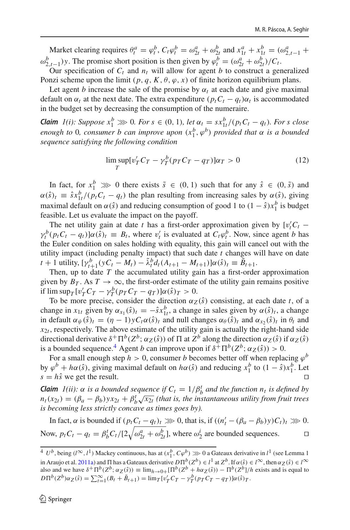Market clearing requires  $\theta_t^a = \varphi_t^b$ ,  $C_t \varphi_t^b = \omega_{2t}^a + \omega_{2t}^b$  and  $x_{1t}^a + x_{1t}^b = (\omega_{2,t-1}^a + \omega_{2t}^b)$  $\omega_{2,t-1}^b$ )*y*. The promise short position is then given by  $\varphi_t^b = (\omega_{2t}^a + \omega_{2t}^b)/C_t$ .

Our specification of  $C_t$  and  $n_t$  will allow for agent *b* to construct a generalized Ponzi scheme upon the limit  $(p, q, K, \theta, \varphi, x)$  of finite horizon equilibrium plans.

Let agent *b* increase the sale of the promise by  $\alpha_t$  at each date and give maximal default on  $\alpha_t$  at the next date. The extra expenditure  $(p_t C_t - q_t) \alpha_t$  is accommodated in the budget set by decreasing the consumption of the numeraire.

*Claim 1(i): Suppose*  $x_1^b \gg 0$ *. For s*  $\in (0, 1)$ *, let*  $\alpha_t = s x_{1t}^b / (p_t C_t - q_t)$ *. For s close enough to* 0*, consumer b can improve upon*  $(x_1^b, \varphi^b)$  *provided that*  $\alpha$  *is a bounded sequence satisfying the following condition*

<span id="page-9-1"></span>
$$
\limsup_{T} \left[v_T^{\prime} C_T - \gamma_T^{b} (p_T C_T - q_T)\right] \alpha_T > 0 \tag{12}
$$

In fact, for  $x_1^b \gg 0$  there exists  $\tilde{s} \in (0, 1)$  such that for any  $\hat{s} \in (0, \tilde{s})$  and  $\alpha(\hat{s})_t \equiv \hat{s} x_{1t}^b / (p_t C_t - q_t)$  the plan resulting from increasing sales by  $\alpha(\hat{s})$ , giving maximal default on  $\alpha(\hat{s})$  and reducing consumption of good 1 to  $(1 - \hat{s})x_1^b$  is budget feasible. Let us evaluate the impact on the payoff.

The net utility gain at date *t* has a first-order approximation given by  $[v_t'C_t$  –  $\gamma_t^b(p_t C_t - q_t) \alpha(\hat{s})_t \equiv B_t$ , where  $v'_t$  is evaluated at  $C_t \varphi_t^b$ . Now, since agent *b* has the Euler condition on sales holding with equality, this gain will cancel out with the utility impact (including penalty impact) that such date *t* changes will have on date  $t + 1$  utility,  $[\gamma_{t+1}^b(\gamma C_t - M_t) - \tilde{\lambda}_t^b d_t(A_{t+1} - M_{t+1})] \alpha(\hat{s})_t \equiv \tilde{B}_{t+1}.$ 

Then, up to date *T* the accumulated utility gain has a first-order approximation given by  $B_T$ . As  $T \to \infty$ , the first-order estimate of the utility gain remains positive if  $\limsup_T [v'_T C_T - \gamma^b_T (p_T C_T - q_T)] \alpha(\hat{s})_T > 0.$ 

To be more precise, consider the direction  $\alpha_Z(\hat{s})$  consisting, at each date *t*, of a change in  $x_{1t}$  given by  $\alpha_{x_1}(\hat{s})_t = -\hat{s}x_{1t}^b$ , a change in sales given by  $\alpha(\hat{s})_t$ , a change in default  $\alpha_{\psi}(\hat{s})_t = (\eta - 1)yC_t\alpha(\hat{s})_t$  and null changes  $\alpha_{\theta}(\hat{s})_t$  and  $\alpha_{x_2}(\hat{s})_t$  in  $\theta_t$  and  $x_{2t}$ , respectively. The above estimate of the utility gain is actually the right-hand side directional derivative  $\delta^+ \Pi^b(Z^b; \alpha_Z(\hat{s}))$  of  $\Pi$  at  $Z^b$  along the direction  $\alpha_Z(\hat{s})$  if  $\alpha_Z(\hat{s})$ is a bounded sequence.<sup>4</sup> Agent *b* can improve upon if  $\delta^+ \Pi^b(Z^b; \alpha_Z(\hat{s})) > 0$ .

For a small enough step  $h > 0$ , consumer *b* becomes better off when replacing  $\varphi^b$ by  $\varphi^b + h\alpha(\hat{s})$ , giving maximal default on  $h\alpha(\hat{s})$  and reducing  $x_1^b$  to  $(1 - \hat{s})x_1^b$ . Let  $s = h\hat{s}$  we get the result.

*Claim 1(ii):*  $\alpha$  *is a bounded sequence if*  $C_t = 1/\beta_b^t$  *and the function*  $n_t$  *is defined by*  $n_t(x_{2t}) = (\beta_a - \beta_b)y_{x_{2t}} + \beta_b^t \sqrt{x_{2t}}$  (that is, the instantaneous utility from fruit trees *is becoming less strictly concave as times goes by).*

In fact,  $\alpha$  is bounded if  $(p_t C_t - q_t)_t \gg 0$ , that is, if  $((n'_t - (\beta_a - \beta_b)y)C_t)_t \gg 0$ . Now,  $p_t C_t - q_t = \beta_b^t C_t / [2 \sqrt{\omega_{2t}^a + \omega_{2t}^b}]$ , where  $\omega_2^i$  are bounded sequences.

<span id="page-9-0"></span><sup>&</sup>lt;sup>4</sup> *U*<sup>*b*</sup>, being ( $l^{\infty}$ ,  $l^1$ ) Mackey continuous, has at  $(x_l^b, C\varphi^b) \gg 0$  a Gateaux derivative in  $l^1$  (see Lemma 1 in Araujo et al[.](#page-23-10) [2011a](#page-23-10)) and  $\Pi$  has a Gateaux derivative  $D\Pi^b(Z^b) \in l^1$  at  $Z^b$ . If  $\alpha(\hat{s}) \in l^{\infty}$ , then  $\alpha_Z(\hat{s}) \in l^{\infty}$ also and we have  $\delta^+\Pi^b(Z^b;\alpha_Z(\hat{s})) = \lim_{h\to 0+}[\Pi^b(Z^b + h\alpha_Z(\hat{s})) - \Pi^b(Z^b]/h$  exists and is equal to  $D\Pi^{b}(Z^{b})\alpha_{Z}(\hat{s}) = \sum_{t=1}^{\infty} (B_{t} + \tilde{B}_{t+1}) = \lim_{T} [v_{T}^{t}C_{T} - v_{T}^{b}(p_{T}C_{T} - q_{T})]\alpha(\hat{s})_{T}$ .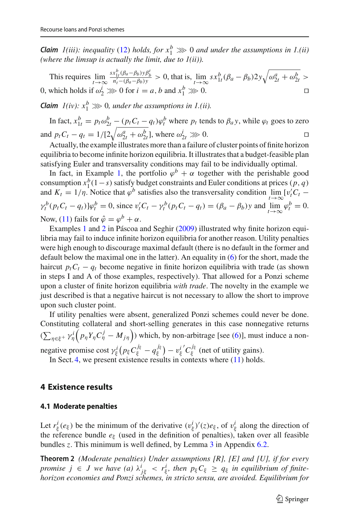*Claim 1(iii): inequality* [\(12\)](#page-9-1) *holds, for*  $x_1^b \gg 0$  *and under the assumptions in 1.(ii) (where the limsup is actually the limit, due to 1(ii)).*

This requires  $\lim_{t\to\infty} \frac{s x_{1t}^b (\beta_a - \beta_b) y \beta_b^t}{n'_t - (\beta_a - \beta_b) y} > 0$ , that is,  $\lim_{t\to\infty} s x_{1t}^b (\beta_a - \beta_b) 2 y \sqrt{\omega_{2t}^a + \omega_{2t}^b} >$ 0, which holds if  $\omega_2^i \gg 0$  for  $i = a, b$  and  $x_1^b \gg 0$ .

*Claim*  $1(iv): x_1^b \gg 0$ , under the assumptions in 1.(ii).

In fact,  $x_{1t}^b = p_t \omega_{2t}^b - (p_t C_t - q_t) \varphi_t^b$  where  $p_t$  tends to  $\beta_a y$ , while  $\varphi_t$  goes to zero and  $p_t C_t - q_t = 1/[2\sqrt{\omega_{2t}^a + \omega_{2t}^b}]$ , where  $\omega_{2t}^i \gg 0$ . □

Actually, the example illustrates more than a failure of cluster points of finite horizon equilibria to become infinite horizon equilibria. It illustrates that a budget-feasible plan satisfying Euler and transversality conditions may fail to be individually optimal.

In fact, in Example [1,](#page-8-0) the portfolio  $\varphi^b + \alpha$  together with the perishable good consumption  $x_1^b(1-s)$  satisfy budget constraints and Euler conditions at prices  $(p, q)$ and  $K_t = 1/\eta$ . Notice that  $\varphi^b$  satisfies also the transversality condition  $\lim_{t \to \infty} [v'_t C_t \gamma_t^b (p_t C_t - q_t) \psi_t^b = 0$ , since  $v_t' C_t - \gamma_t^b (p_t C_t - q_t) = (\beta_a - \beta_b) y$  and  $\lim_{t \to \infty} \varphi_t^b = 0$ . Now, [\(11\)](#page-7-0) fails for  $\hat{\varphi} = \varphi^b + \alpha$ .

Examples [1](#page-8-0) and [2](#page-12-0) in Páscoa and Seghi[r](#page-23-3) [\(2009](#page-23-3)) illustrated why finite horizon equilibria may fail to induce infinite horizon equilibria for another reason. Utility penalties were high enough to discourage maximal default (there is no default in the former and default below the maximal one in the latter). An equality in [\(6\)](#page-5-3) for the short, made the haircut  $p_t C_t - q_t$  become negative in finite horizon equilibria with trade (as shown in steps I and A of those examples, respectively). That allowed for a Ponzi scheme upon a cluster of finite horizon equilibria *with trade*. The novelty in the example we just described is that a negative haircut is not necessary to allow the short to improve upon such cluster point.

If utility penalties were absent, generalized Ponzi schemes could never be done. Constituting collateral and short-selling generates in this case nonnegative returns  $(\sum_{\eta \in \xi^+} \gamma^i_{\eta} (p_{\eta} Y_{\eta} C^j_{\eta} - M_{j\eta}))$  which, by non-arbitrage [see [\(6\)](#page-5-3)], must induce a nonnegative promise cost  $\gamma_{\xi}^{i} (p_{\xi} C_{\xi}^{j_{\xi}} - q_{\xi}^{j_{\xi}})$  $(v_{\xi}^{j_{\xi}})-v_{\xi}^{i'}/C_{\xi}^{j_{\xi}}$  (net of utility gains).

In Sect. [4,](#page-10-1) we present existence results in contexts where  $(11)$  holds.

# <span id="page-10-2"></span><span id="page-10-1"></span>**4 Existence results**

#### **4.1 Moderate penalties**

Let  $r^i_\xi(e_\xi)$  be the minimum of the derivative  $(v^i_\xi)'(z)e_\xi$ , of  $v^i_\xi$  along the direction of the reference bundle  $e_{\xi}$  (used in the definition of penalties), taken over all feasible bundles *z*. This minimum is well defined, by Lemma [3](#page-20-0) in Appendix [6.2.](#page-20-1)

<span id="page-10-0"></span>**Theorem 2** *(Moderate penalties) Under assumptions [R], [E] and [U], if for every promise*  $j \in J$  we have (a)  $\lambda^i_{j\xi} < r^i_{\xi}$ , then  $p_{\xi}C_{\xi} \ge q_{\xi}$  in equilibrium of finite*horizon economies and Ponzi schemes, in stricto sensu, are avoided. Equilibrium for*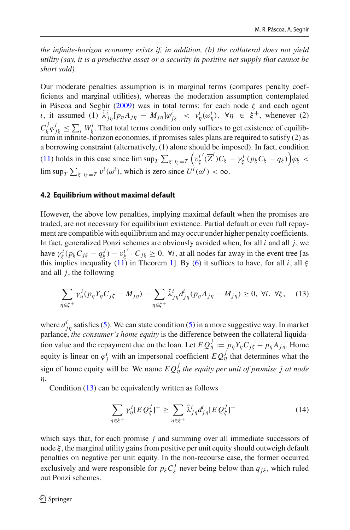*the infinite-horizon economy exists if, in addition, (b) the collateral does not yield utility (say, it is a productive asset or a security in positive net supply that cannot be short sold).*

Our moderate penalties assumption is in marginal terms (compares penalty coefficients and marginal utilities), whereas the moderation assumption contemplated in Páscoa and Seghi[r](#page-23-3) [\(2009\)](#page-23-3) was in total terms: for each node  $\xi$  and each agent *i*, it assumed (1)  $\tilde{\lambda}_{j\eta}^i[p_\eta A_{j\eta} - M_{j\eta}]\varphi_{j\xi}^i < \nu_{\eta}^i(\omega_{\eta}^i)$ ,  $\forall \eta \in \xi^+$ , whenever (2)  $C_{\xi}^{j} \varphi_{j\xi}^{i} \leq \sum_{i} W_{\xi}^{i}$ . That total terms condition only suffices to get existence of equilibrium in infinite-horizon economies, if promises sales plans are required to satisfy (2) as a borrowing constraint (alternatively, (1) alone should be imposed). In fact, condition [\(11\)](#page-7-0) holds in this case since  $\limsup_T \sum_{\xi: t_{\xi}=T} \left( v_{\xi}^{i'}(\overline{Z}^i) C_{\xi} - \gamma_{\xi}^{i} (p_{\xi} C_{\xi} - q_{\xi}) \right) \varphi_{\xi}$  $\limsup_T \sum_{\xi: t_{\xi}=T} v^i(\omega^i)$ , which is zero since  $U^i(\omega^i) < \infty$ .

#### **4.2 Equilibrium without maximal default**

However, the above low penalties, implying maximal default when the promises are traded, are not necessary for equilibrium existence. Partial default or even full repayment are compatible with equilibrium and may occur under higher penalty coefficients. In fact, generalized Ponzi schemes are obviously avoided when, for all *i* and all *j*, we have  $\gamma_{\xi}^{i} (p_{\xi} C_{j\xi} - q_{\xi}^{j}) - v_{\xi}^{i'} \cdot C_{j\xi} \ge 0$ ,  $\forall i$ , at all nodes far away in the event tree [as this implies inequality [\(11\)](#page-7-0) in Theorem [1\]](#page-6-3). By [\(6\)](#page-5-3) it suffices to have, for all *i*, all ξ and all *j*, the following

<span id="page-11-0"></span>
$$
\sum_{\eta \in \xi^+} \gamma_\eta^i (p_\eta Y_\eta C_{j\xi} - M_{j\eta}) - \sum_{\eta \in \xi^+} \tilde{\lambda}_{j\eta}^i d_{j\eta}^i (p_\eta A_{j\eta} - M_{j\eta}) \ge 0, \ \forall i, \ \forall \xi, \tag{13}
$$

where  $d_{j\eta}^i$  satisfies [\(5\)](#page-5-3). We can state condition (5) in a more suggestive way. In market parlance, *the consumer's home equity* is the difference between the collateral liquidation value and the repayment due on the loan. Let  $EQ^j_{\eta} := p_{\eta} Y_{\eta} C_{j\xi} - p_{\eta} A_{j\eta}$ . Home equity is linear on  $\varphi^i_j$  with an impersonal coefficient  $EQ^j_\eta$  that determines what the sign of home equity will be. We name  $EQ_{\eta}^j$  the equity per unit of promise j at node η.

Condition [\(13\)](#page-11-0) can be equivalently written as follows

$$
\sum_{\eta \in \xi^+} \gamma_\eta^i [E \mathcal{Q}_\xi^j]^+ \ge \sum_{\eta \in \xi^+} \tilde{\lambda}_{j\eta}^i d_{j\eta}^i [E \mathcal{Q}_\xi^j]^- \tag{14}
$$

which says that, for each promise *j* and summing over all immediate successors of node  $\xi$ , the marginal utility gains from positive per unit equity should outweigh default penalties on negative per unit equity. In the non-recourse case, the former occurred exclusively and were responsible for  $p_{\xi} C_{\xi}^{j}$  never being below than  $q_{j\xi}$ , which ruled out Ponzi schemes.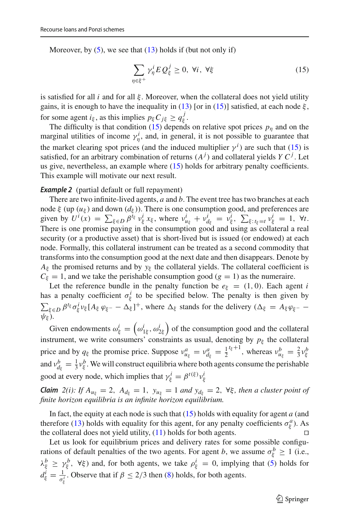Moreover, by  $(5)$ , we see that  $(13)$  holds if (but not only if)

<span id="page-12-1"></span>
$$
\sum_{\eta \in \xi^+} \gamma_\eta^i E Q_\xi^j \ge 0, \ \forall i, \ \forall \xi \tag{15}
$$

is satisfied for all *i* and for all  $\xi$ . Moreover, when the collateral does not yield utility gains, it is enough to have the inequality in [\(13\)](#page-11-0) [or in [\(15\)](#page-12-1)] satisfied, at each node  $\xi$ , for some agent  $i_{\xi}$ , as this implies  $p_{\xi} C_{j\xi} \ge q_{\xi}^{j}$ .

The difficulty is that condition  $(15)$  depends on relative spot prices  $p_n$  and on the marginal utilities of income  $\gamma^i$ , and, in general, it is not possible to guarantee that the market clearing spot prices (and the induced multiplier  $\gamma^{i}$ ) are such that [\(15\)](#page-12-1) is satisfied, for an arbitrary combination of returns  $(A<sup>j</sup>)$  and collateral yields *Y C<sup>j</sup>*. Let us give, nevertheless, an example where [\(15\)](#page-12-1) holds for arbitrary penalty coefficients. This example will motivate our next result.

#### <span id="page-12-0"></span>*Example 2* (partial default or full repayment)

There are two infinite-lived agents, *a* and *b*. The event tree has two branches at each node  $\xi$  (up ( $u_{\xi}$ ) and down ( $d_{\xi}$ )). There is one consumption good, and preferences are given by  $U^{i}(x) = \sum_{\xi \in D} \beta^{i_{\xi}} v_{\xi}^{i} x_{\xi}$ , where  $v_{u_{\xi}}^{i} + v_{d_{\xi}}^{i} = v_{\xi}^{i}$ ,  $\sum_{\xi : i_{\xi} = t} v_{\xi}^{i} = 1$ ,  $\forall t$ . There is one promise paying in the consumption good and using as collateral a real security (or a productive asset) that is short-lived but is issued (or endowed) at each node. Formally, this collateral instrument can be treated as a second commodity that transforms into the consumption good at the next date and then disappears. Denote by  $A_{\xi}$  the promised returns and by  $y_{\xi}$  the collateral yields. The collateral coefficient is  $C_{\xi} = 1$ , and we take the perishable consumption good (*g* = 1) as the numeraire.

Let the reference bundle in the penalty function be  $e_{\xi} = (1, 0)$ . Each agent *i* has a penalty coefficient  $\sigma_{\xi}^{i}$  to be specified below. The penalty is then given by  $\sum_{\xi \in D} \beta^{t_{\xi}} \sigma_{\xi}^{i} v_{\xi} [A_{\xi} \varphi_{\xi^{-}} - \Delta_{\xi}]^{+}$ , where  $\Delta_{\xi}$  stands for the delivery ( $\Delta_{\xi} = A_{\xi} \varphi_{\xi^{-}} \psi_{\xi}$ ).

Given endowments  $\omega_{\xi}^{i} = (\omega_{1\xi}^{i}, \omega_{2\xi}^{i})$  of the consumption good and the collateral instrument, we write consumers' constraints as usual, denoting by  $p_{\xi}$  the collateral price and by  $q_{\xi}$  the promise price. Suppose  $v_{u_{\xi}}^a = v_{d_{\xi}}^a = \frac{1}{2}^{t_{\xi}+1}$ , whereas  $v_{u_{\xi}}^b = \frac{2}{3}v_{\xi}^b$ and  $v_{d_{\xi}}^{b} = \frac{1}{3}v_{\xi}^{b}$ . We will construct equilibria where both agents consume the perishable good at every node, which implies that  $\gamma_{\xi}^{i} = \beta^{t(\xi)} \nu_{\xi}^{i}$ 

*Claim 2(i): If*  $A_{u_{\xi}} = 2$ ,  $A_{d_{\xi}} = 1$ ,  $y_{u_{\xi}} = 1$  *and*  $y_{d_{\xi}} = 2$ ,  $\forall \xi$ *, then a cluster point of finite horizon equilibria is an infinite horizon equilibrium.*

In fact, the equity at each node is such that [\(15\)](#page-12-1) holds with equality for agent *a* (and therefore [\(13\)](#page-11-0) holds with equality for this agent, for any penalty coefficients  $\sigma_{\xi}^{a}$ ). As the collateral does not yield utility, [\(11\)](#page-7-0) holds for both agents.

Let us look for equilibrium prices and delivery rates for some possible configurations of default penalties of the two agents. For agent *b*, we assume  $\sigma_{\xi}^{b} \ge 1$  (i.e.,  $\lambda_{\xi}^{b} \geq \gamma_{\xi}^{b}$ ,  $\forall \xi$ ) and, for both agents, we take  $\rho_{\xi}^{i} = 0$ , implying that [\(5\)](#page-5-3) holds for  $d_{\xi}^{i} = \frac{1}{\sigma_{\xi}^{i}}$ . Observe that if  $\beta \leq 2/3$  then [\(8\)](#page-5-3) holds, for both agents.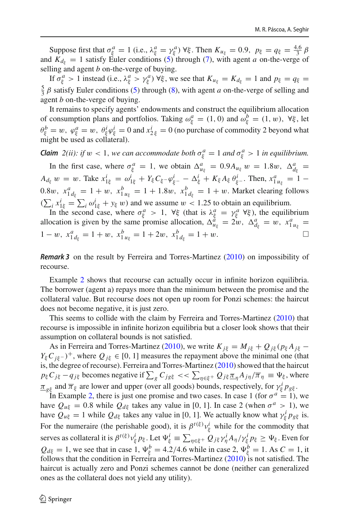Suppose first that  $\sigma_{\xi}^{a} = 1$  (i.e.,  $\lambda_{\xi}^{a} = \gamma_{\xi}^{a}$ )  $\forall \xi$ . Then  $K_{u_{\xi}} = 0.9$ ,  $p_{\xi} = q_{\xi} = \frac{4.6}{3} \beta$ and  $K_{d_{\xi}} = 1$  satisfy Euler conditions [\(5\)](#page-5-3) through [\(7\)](#page-5-3), with agent *a* on-the-verge of selling and agent *b* on-the-verge of buying.

If  $\sigma_{\xi}^{a} > 1$  instead (i.e.,  $\lambda_{\xi}^{a} > \gamma_{\xi}^{a}$ )  $\forall \xi$ , we see that  $K_{u_{\xi}} = K_{d_{\xi}} = 1$  and  $p_{\xi} = q_{\xi} = 1$  $\frac{5}{3}$   $\beta$  satisfy Euler conditions [\(5\)](#page-5-3) through [\(8\)](#page-5-3), with agent *a* on-the-verge of selling and agent *b* on-the-verge of buying.

It remains to specify agents' endowments and construct the equilibrium allocation of consumption plans and portfolios. Taking  $\omega_{\xi}^{a} = (1, 0)$  and  $\omega_{\xi}^{b} = (1, w)$ ,  $\forall \xi$ , let  $\theta_{\xi}^{b} = w$ ,  $\varphi_{\xi}^{a} = w$ ,  $\theta_{\xi}^{i} \varphi_{\xi}^{i} = 0$  and  $x_{2\xi}^{i} = 0$  (no purchase of commodity 2 beyond what might be used as collateral).

*Claim*  $2(ii)$ : *if*  $w < 1$ , *we can accommodate both*  $\sigma_{\xi}^{a} = 1$  *and*  $\sigma_{\xi}^{a} > 1$  *in equilibrium.* 

In the first case, where  $\sigma_{\xi}^{a} = 1$ , we obtain  $\Delta_{u_{\xi}}^{a} = 0.9 A_{u_{\xi}} w = 1.8 w$ ,  $\Delta_{d_{\xi}}^{a} = 0.9 A_{u_{\xi}} w$  $A_{d_{\xi}} w = w$ . Take  $x_{1\xi}^i = \omega_{1\xi}^i + Y_{\xi} C_{\xi} - \varphi_{\xi}^i - \Delta_{\xi}^i + K_{\xi} A_{\xi} \theta_{\xi}^i$ . Then,  $x_{1 u_{\xi}}^a = 1 - \frac{1}{2}$ 0.8w,  $x_{1 d_{\xi}}^{a} = 1 + w$ ,  $x_{1 u_{\xi}}^{b} = 1 + 1.8w$ ,  $x_{1 d_{\xi}}^{b} = 1 + w$ . Market clearing follows  $(\sum_i x_{1\xi}^i = \sum_i \omega_{1\xi}^i + y_{\xi} w)$  and we assume  $w < 1.25$  to obtain an equilibrium.

In the second case, where  $\sigma_{\xi}^a > 1$ ,  $\forall \xi$  (that is  $\lambda_{\xi}^a = \gamma_{\xi}^a \ \forall \xi$ ), the equilibrium allocation is given by the same promise allocation,  $\Delta_{u_{\xi}}^{\hat{d}} = 2w$ ,  $\Delta_{d_{\xi}}^{\hat{d}} = w$ ,  $x_{1u_{\xi}}^{\hat{d}} = 0$ 1 − w,  $x_{1 d_{\xi}}^a = 1 + w$ ,  $x_{1 u_{\xi}}^b = 1 + 2w$ ,  $x_{1 d_{\xi}}^b = 1 + w$ .

*Remark 3* on the result by Ferreira and Torres-Martine[z](#page-23-8) [\(2010](#page-23-8)) on impossibility of recourse.

Example [2](#page-12-0) shows that recourse can actually occur in infinite horizon equilibria. The borrower (agent a) repays more than the minimum between the promise and the collateral value. But recourse does not open up room for Ponzi schemes: the haircut does not become negative, it is just zero.

This seems to collide with the claim by Ferreira and Torres-Martine[z](#page-23-8) [\(2010\)](#page-23-8) that recourse is impossible in infinite horizon equilibria but a closer look shows that their assumption on collateral bounds is not satisfied.

As in Ferreira and Torres-Martine[z](#page-23-8) [\(2010\)](#page-23-8), we write  $K_{i\xi} = M_{i\xi} + Q_{i\xi} (p_{\xi} A_{i\xi} - p_{\xi} A_{i\xi})$ *Y*<sub>ξ</sub> $C$ <sub>*iξ*−</sub> $)$ <sup>+</sup>, where  $Q$ <sub>*iξ*</sub> ∈ [0, 1] measures the repayment above the minimal one (that is, the degree of recourse). Ferreira and Torres-Martine[z](#page-23-8) [\(2010](#page-23-8)) showed that the haircut  $p_{\xi}C_{j\xi} - q_{j\xi}$  becomes negative if  $\sum_{g}C_{jg\xi} \ll \sum_{\eta \in \xi^{+}} Q_{j\xi}\frac{\pi}{n} \frac{A_{j\eta}}{\pi} \frac{\pi}{n} \equiv \Psi_{\xi}$ , where  $\pi_{g\xi}$  and  $\overline{\pi}_{\xi}$  are lower and upper (over all goods) bounds, respectively, for  $\gamma_{\xi}^{i} p_{g\xi}$ .

In Example [2,](#page-12-0) there is just one promise and two cases. In case 1 (for  $\sigma^d = 1$ ), we have  $Q_{\mu\xi} = 0.8$  while  $Q_{d\xi}$  takes any value in [0, 1]. In case 2 (when  $\sigma^a > 1$ ), we have  $Q_{\mu\xi} = 1$  while  $Q_{d\xi}$  takes any value in [0, 1]. We actually know what  $\gamma_{\xi}^{i} p_{g\xi}$  is. For the numeraire (the perishable good), it is  $\beta^{t(\xi)} v_{\xi}^{i}$  while for the commodity that serves as collateral it is  $\beta^{t(\xi)} v_{\xi}^i p_{\xi}$ . Let  $\Psi_{\xi}^i \equiv \sum_{\eta \in \xi^+} Q_{j\xi} \gamma_{\eta}^i A_{\eta} / \gamma_{\xi}^i p_{\xi} \ge \Psi_{\xi}$ . Even for  $Q_{d\xi} = 1$ , we see that in case 1,  $\Psi_{\xi}^{b} = 4.2/4.6$  while in case 2,  $\Psi_{\xi}^{b} = 1$ . As  $C = 1$ , it follows that the condition in Ferreira and Torres-Martine[z](#page-23-8)  $(2010)$  $(2010)$  is not satisfied. The haircut is actually zero and Ponzi schemes cannot be done (neither can generalized ones as the collateral does not yield any utility).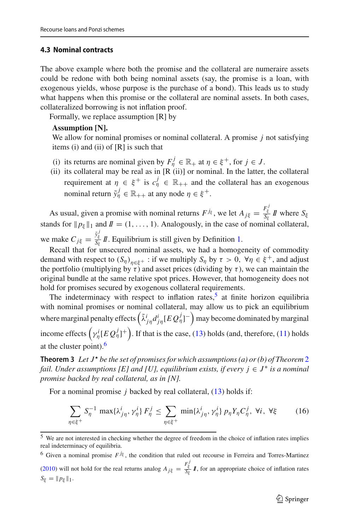### <span id="page-14-1"></span>**4.3 Nominal contracts**

The above example where both the promise and the collateral are numeraire assets could be redone with both being nominal assets (say, the promise is a loan, with exogenous yields, whose purpose is the purchase of a bond). This leads us to study what happens when this promise or the collateral are nominal assets. In both cases, collateralized borrowing is not inflation proof.

Formally, we replace assumption [R] by

#### **Assumption [N].**

We allow for nominal promises or nominal collateral. A promise *j* not satisfying items (i) and (ii) of  $[R]$  is such that

- (i) its returns are nominal given by  $F_{\eta}^{j} \in \mathbb{R}_{+}$  at  $\eta \in \xi^{+}$ , for  $j \in J$ .
- (ii) its collateral may be real as in  $[R (ii)]$  or nominal. In the latter, the collateral requirement at  $\eta \in \xi^+$  is  $c^j_{\eta} \in \mathbb{R}_{++}$  and the collateral has an exogenous nominal return  $\tilde{y}_{\eta}^j \in \mathbb{R}_{++}$  at any node  $\eta \in \xi^+$ .

As usual, given a promise with nominal returns  $F^{j_{\xi}}$ , we let  $A_{j\xi} = \frac{F_{\xi}^{j}}{S_{\xi}} I\!\!I$  where  $S_{\xi}$ stands for  $\|p_{\xi}\|_1$  and  $I = (1, \ldots, 1)$ . Analogously, in the case of nominal collateral, we make  $C_{j\xi} = \frac{\tilde{y}_{\xi}^{j}}{S_{\xi}} I\!\!I$ . Equilibrium is still given by Definition [1.](#page-5-4)

Recall that for unsecured nominal assets, we had a homogeneity of commodity demand with respect to  $(S_n)_{n \in \mathcal{E}^+}$ : if we multiply  $S_n$  by  $\tau > 0$ ,  $\forall \eta \in \mathcal{E}^+$ , and adjust the portfolio (multiplying by  $\tau$ ) and asset prices (dividing by  $\tau$ ), we can maintain the original bundle at the same relative spot prices. However, that homogeneity does not hold for promises secured by exogenous collateral requirements.

The indeterminacy with respect to inflation rates, $5$  at finite horizon equilibria with nominal promises or nominal collateral, may allow us to pick an equilibrium where marginal penalty effects  $(\tilde{\lambda}^i_{j\eta}d^i_{j\eta}[EQ^j_{\eta}]^-)$  may become dominated by marginal income effects  $(\gamma_{\eta}^i [EQ_{\eta}^j]^+)$ . If that is the case, [\(13\)](#page-11-0) holds (and, therefore, [\(11\)](#page-7-0) holds at the cluster point). $<sup>6</sup>$  $<sup>6</sup>$  $<sup>6</sup>$ </sup>

<span id="page-14-0"></span>**Theorem 3** Let  $J^*$  be the set of promises for which assumptions (a) or (b) of Theorem [2](#page-10-0) *fail. Under assumptions [E] and [U], equilibrium exists, if every*  $j \in J^*$  *is a nominal promise backed by real collateral, as in [N].*

For a nominal promise *j* backed by real collateral, [\(13\)](#page-11-0) holds if:

<span id="page-14-4"></span>
$$
\sum_{\eta \in \xi^+} S_{\eta}^{-1} \max \{ \lambda_{j\eta}^i, \gamma_{\eta}^i \} F_{\eta}^j \le \sum_{\eta \in \xi^+} \min \{ \lambda_{j\eta}^i, \gamma_{\eta}^i \} p_{\eta} Y_{\eta} C_{\eta}^j, \forall i, \forall \xi \tag{16}
$$

<span id="page-14-2"></span><sup>5</sup> We are not interested in checking whether the degree of freedom in the choice of inflation rates implies real indeterminacy of equilibria.

<span id="page-14-3"></span><sup>&</sup>lt;sup>6</sup> Given a nominal promise  $F^{j\xi}$ , the condition that ruled out recourse in Ferreira and Torres-Martine[z](#page-23-8) [\(2010](#page-23-8)) will not hold for the real returns analog  $A_{j\xi} = \frac{F_{\xi}^{j}}{S_{\xi}} I$ , for an appropriate choice of inflation rates  $S_{\xi} = ||p_{\xi}||_1.$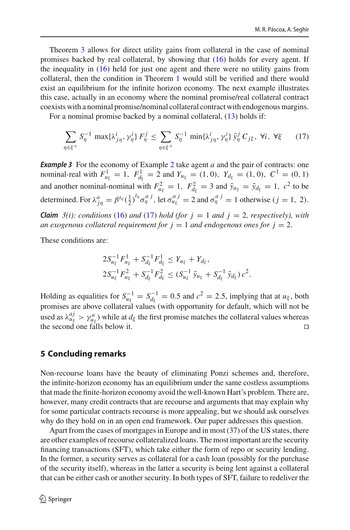Theorem [3](#page-14-0) allows for direct utility gains from collateral in the case of nominal promises backed by real collateral, by showing that [\(16\)](#page-14-4) holds for every agent. If the inequality in [\(16\)](#page-14-4) held for just one agent and there were no utility gains from collateral, then the condition in Theorem [1](#page-6-3) would still be verified and there would exist an equilibrium for the infinite horizon economy. The next example illustrates this case, actually in an economy where the nominal promise/real collateral contract coexists with a nominal promise/nominal collateral contract with endogenous margins.

For a nominal promise backed by a nominal collateral,  $(13)$  holds if:

<span id="page-15-1"></span>
$$
\sum_{\eta \in \xi^+} S_{\eta}^{-1} \, \max\{\lambda_{j\eta}^i, \gamma_{\eta}^i\} \, F_{\eta}^j \le \sum_{\eta \in \xi^+} S_{\eta}^{-1} \, \min\{\lambda_{j\eta}^i, \gamma_{\eta}^i\} \, \tilde{\mathbf{y}}_{\eta}^j \, C_{j\xi}, \, \forall i, \, \forall \xi \tag{17}
$$

<span id="page-15-0"></span>**Example 3** For the economy of Example [2](#page-12-0) take agent *a* and the pair of contracts: one nominal-real with  $F_{u_{\xi}}^1 = 1$ ,  $F_{d_{\xi}}^1 = 2$  and  $Y_{u_{\xi}} = (1, 0)$ ,  $Y_{d_{\xi}} = (1, 0)$ ,  $C^1 = (0, 1)$ and another nominal-nominal with  $F_{u_{\xi}}^2 = 1$ ,  $F_{d_{\xi}}^2 = 3$  and  $\tilde{y}_{u_{\xi}} = \tilde{y}_{d_{\xi}} = 1$ ,  $c^2$  to be determined. For  $\lambda_{j\eta}^a = \beta^{t_{\eta}} \left(\frac{1}{2}\right)^{t_{\eta}} \sigma_{\eta}^{a}$ , let  $\sigma_{u_{\xi}}^{a} = 2$  and  $\sigma_{\eta}^{a}{}^{j} = 1$  otherwise  $(j = 1, 2)$ . *Claim*  $3(i)$ *: conditions* [\(16\)](#page-14-4) *and* [\(17\)](#page-15-1) *hold* (for  $j = 1$  *and*  $j = 2$ *, respectively), with an exogenous collateral requirement for*  $j = 1$  *and endogenous ones for*  $j = 2$ *.* 

These conditions are:

$$
2S_{u_{\xi}}^{-1}F_{u_{\xi}}^{1} + S_{d_{\xi}}^{-1}F_{d_{\xi}}^{1} \leq Y_{u_{\xi}} + Y_{d_{\xi}},
$$
  

$$
2S_{u_{\xi}}^{-1}F_{u_{\xi}}^{2} + S_{d_{\xi}}^{-1}F_{d_{\xi}}^{2} \leq (S_{u_{\xi}}^{-1} \tilde{y}_{u_{\xi}} + S_{d_{\xi}}^{-1} \tilde{y}_{d_{\xi}}) c^{2}.
$$

Holding as equalities for  $S_{u_{\xi}}^{-1} = S_{d_{\xi}}^{-1} = 0.5$  and  $c^2 = 2.5$ , implying that at  $u_{\xi}$ , both promises are above collateral values (with opportunity for default, which will not be used as  $\lambda_{u_{\xi}}^{aj} > \gamma_{u_{\xi}}^{a}$ ) while at  $d_{\xi}$  the first promise matches the collateral values whereas the second one falls below it.

## **5 Concluding remarks**

Non-recourse loans have the beauty of eliminating Ponzi schemes and, therefore, the infinite-horizon economy has an equilibrium under the same costless assumptions that made the finite-horizon economy avoid the well-known Hart's problem. There are, however, many credit contracts that are recourse and arguments that may explain why for some particular contracts recourse is more appealing, but we should ask ourselves why do they hold on in an open end framework. Our paper addresses this question.

Apart from the cases of mortgages in Europe and in most (37) of the US states, there are other examples of recourse collateralized loans. The most important are the security financing transactions (SFT), which take either the form of repo or security lending. In the former, a security serves as collateral for a cash loan (possibly for the purchase of the security itself), whereas in the latter a security is being lent against a collateral that can be either cash or another security. In both types of SFT, failure to redeliver the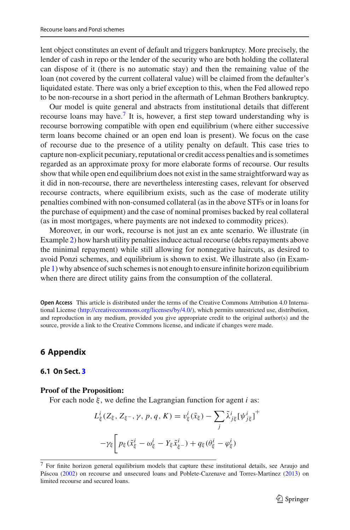lent object constitutes an event of default and triggers bankruptcy. More precisely, the lender of cash in repo or the lender of the security who are both holding the collateral can dispose of it (there is no automatic stay) and then the remaining value of the loan (not covered by the current collateral value) will be claimed from the defaulter's liquidated estate. There was only a brief exception to this, when the Fed allowed repo to be non-recourse in a short period in the aftermath of Lehman Brothers bankruptcy.

Our model is quite general and abstracts from institutional details that different recourse loans may have.[7](#page-16-1) It is, however, a first step toward understanding why is recourse borrowing compatible with open end equilibrium (where either successive term loans become chained or an open end loan is present). We focus on the case of recourse due to the presence of a utility penalty on default. This case tries to capture non-explicit pecuniary, reputational or credit access penalties and is sometimes regarded as an approximate proxy for more elaborate forms of recourse. Our results show that while open end equilibrium does not exist in the same straightforward way as it did in non-recourse, there are nevertheless interesting cases, relevant for observed recourse contracts, where equilibrium exists, such as the case of moderate utility penalties combined with non-consumed collateral (as in the above STFs or in loans for the purchase of equipment) and the case of nominal promises backed by real collateral (as in most mortgages, where payments are not indexed to commodity prices).

Moreover, in our work, recourse is not just an ex ante scenario. We illustrate (in Example [2\)](#page-12-0) how harsh utility penalties induce actual recourse (debts repayments above the minimal repayment) while still allowing for nonnegative haircuts, as desired to avoid Ponzi schemes, and equilibrium is shown to exist. We illustrate also (in Example [1\)](#page-8-0) why absence of such schemes is not enough to ensure infinite horizon equilibrium when there are direct utility gains from the consumption of the collateral.

**Open Access** This article is distributed under the terms of the Creative Commons Attribution 4.0 International License [\(http://creativecommons.org/licenses/by/4.0/\)](http://creativecommons.org/licenses/by/4.0/), which permits unrestricted use, distribution, and reproduction in any medium, provided you give appropriate credit to the original author(s) and the source, provide a link to the Creative Commons license, and indicate if changes were made.

# **6 Appendix**

### <span id="page-16-0"></span>**6.1 On Sect. [3](#page-5-0)**

#### **Proof of the Proposition:**

For each node ξ , we define the Lagrangian function for agent *i* as:

$$
L_{\xi}^{i}(Z_{\xi}, Z_{\xi^{-}}, \gamma, p, q, K) = v_{\xi}^{i}(\tilde{x}_{\xi}) - \sum_{j} \tilde{\lambda}_{j\xi}^{i} [\psi_{j\xi}^{i}]^{+}
$$

$$
-\gamma_{\xi} \left[ p_{\xi}(\tilde{x}_{\xi}^{i} - \omega_{\xi}^{i} - Y_{\xi}\tilde{x}_{\xi^{-}}^{i}) + q_{\xi}(\theta_{\xi}^{i} - \varphi_{\xi}^{i}) \right]
$$

<span id="page-16-1"></span><sup>7</sup> For finite horizon general equilibrium models that capture these institutional details, see Araujo and Pásco[a](#page-22-1) [\(2002\)](#page-22-1) on recourse and unsecured loans and Poblete-Cazenave and Torres-Martine[z](#page-23-11) [\(2013](#page-23-11)) on limited recourse and secured loans.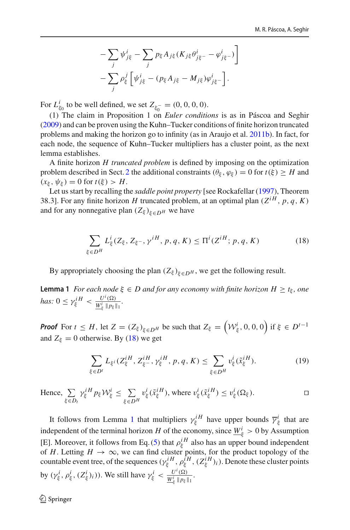$$
-\sum_{j} \psi_{j\xi}^{i} - \sum_{j} p_{\xi} A_{j\xi} (K_{j\xi} \theta_{j\xi}^{i} - \varphi_{j\xi}^{i})
$$

$$
-\sum_{j} \rho_{\xi}^{j} \left[ \psi_{j\xi}^{i} - (p_{\xi} A_{j\xi} - M_{j\xi}) \varphi_{j\xi}^{i} - \right].
$$

For  $L_{\xi_0}^i$  to be well defined, we set  $Z_{\xi_0^-} = (0, 0, 0, 0, ...)$ .

(1) The claim in Proposition 1 on *Euler conditions* is as in Páscoa and Seghi[r](#page-23-3) [\(2009\)](#page-23-3) and can be proven using the Kuhn–Tucker conditions of finite horizon truncated problems and making the horizon go to infinity (as in Araujo et al[.](#page-23-12) [2011b](#page-23-12)). In fact, for each node, the sequence of Kuhn–Tucker multipliers has a cluster point, as the next lemma establishes.

A finite horizon *H truncated problem* is defined by imposing on the optimization problem described in Sect. [2](#page-2-0) the additional constraints  $(\theta_{\xi}, \varphi_{\xi}) = 0$  for  $t(\xi) \geq H$  and  $(x_{\xi}, \psi_{\xi}) = 0$  for  $t(\xi) > H$ .

Let us start by recalling the *saddle point property* [see Rockafellar [\(1997](#page-23-13)), Theorem 38.3]. For any finite horizon *H* truncated problem, at an optimal plan ( $Z^{iH}$ , *p*, *q*, *K*) and for any nonnegative plan  $(Z_{\xi})_{\xi \in D^H}$  we have

<span id="page-17-0"></span>
$$
\sum_{\xi \in D^H} L^i_{\xi} (Z_{\xi}, Z_{\xi^-}, \gamma^{iH}, p, q, K) \le \Pi^i (Z^{iH}; p, q, K)
$$
 (18)

<span id="page-17-1"></span>By appropriately choosing the plan  $(Z_{\xi})_{\xi \in D^H}$ , we get the following result.

**Lemma 1** *For each node*  $\xi \in D$  *and for any economy with finite horizon*  $H \ge t_{\xi}$ *, one has:*  $0 \le \gamma_{\xi}^{iH} < \frac{U^{i}(\Omega)}{\underline{W_{\xi}^{i}} || p_{\xi} ||_{1}}$ .

*Proof* For  $t \leq H$ , let  $Z = (Z_{\xi})_{\xi \in D^H}$  be such that  $Z_{\xi} = (\mathcal{W}_{\xi}^i, 0, 0, 0)$  if  $\xi \in D^{t-1}$ and  $Z_{\xi} = 0$  otherwise. By [\(18\)](#page-17-0) we get

$$
\sum_{\xi \in D^t} L_{\xi^i} (Z_{\xi}^{iH}, Z_{\xi^-}^{iH}, \gamma_{\xi}^{iH}, p, q, K) \le \sum_{\xi \in D^H} v_{\xi}^i (\tilde{x}_{\xi}^{iH}). \tag{19}
$$

Hence,  $\Sigma$ ξ∈*Dt*  $\gamma_{\xi}^{i\,H}p_{\xi}\mathcal{W}_{\xi}^{i}\leq\sum_{i,j}$ ξ∈*D<sup>H</sup>*  $v^i_\xi(\tilde{x}^{iH}_\xi)$ , where  $v^i_\xi(\tilde{x}^{iH}_\xi) \le v^i_\xi(\Omega_\xi)$ .

It follows from Lemma [1](#page-17-1) that multipliers  $\gamma_{\xi}^{iH}$  have upper bounds  $\overline{\gamma}_{\xi}^{i}$  that are independent of the terminal horizon *H* of the economy, since  $\frac{W_{\xi}^{i}}{g} > 0$  by Assumption [E]. Moreover, it follows from Eq. [\(5\)](#page-5-3) that  $\rho_{\xi}^{iH}$  also has an upper bound independent of *H*. Letting  $H \to \infty$ , we can find cluster points, for the product topology of the countable event tree, of the sequences  $(\gamma_{\xi}^{iH}, \rho_{\xi}^{iH}, (Z_{\xi}^{iH})_i)$ . Denote these cluster points by  $(\gamma_{\xi}^{i}, \rho_{\xi}^{i}, (Z_{\xi}^{i})_{i})$ ). We still have  $\gamma_{\xi}^{i} < \frac{U^{i}(\Omega)}{W_{\xi}^{i} || p_{\xi} ||_{1}}$ .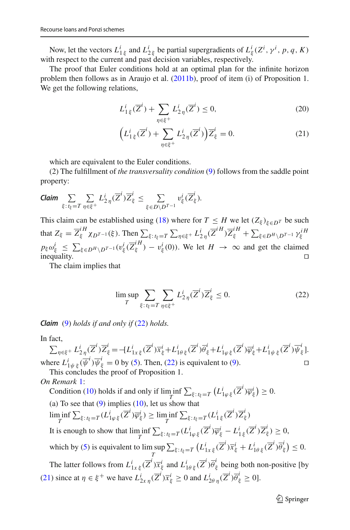Now, let the vectors  $L^i_{1 \xi}$  and  $L^i_{2 \xi}$  be partial supergradients of  $L^i_{\xi}(Z^i, \gamma^i, p, q, K)$ with respect to the current and past decision variables, respectively.

The proof that Euler conditions hold at an optimal plan for the infinite horizon problem then follows as in Araujo et al[.](#page-23-12) [\(2011b](#page-23-12)), proof of item (i) of Proposition 1. We get the following relations,

<span id="page-18-1"></span>
$$
L_{1\xi}^{i}(\overline{Z}^{i}) + \sum_{\eta \in \xi^{+}} L_{2\eta}^{i}(\overline{Z}^{i}) \le 0,
$$
\n(20)

$$
\left(L_1^i \xi(\overline{Z}^i) + \sum_{\eta \in \xi^+} L_{2\eta}^i(\overline{Z}^i)\right) \overline{Z}_{\xi}^i = 0. \tag{21}
$$

which are equivalent to the Euler conditions.

(2) The fulfillment of *the transversality condition* [\(9\)](#page-6-0) follows from the saddle point property:

**Claim** 
$$
\sum_{\xi: t_{\xi}=T} \sum_{\eta \in \xi^{+}} L_{2\eta}^{i}(\overline{Z}^{i}) \overline{Z}_{\xi}^{i} \leq \sum_{\xi \in D \setminus D^{T-1}} v_{\xi}^{i}(\overline{Z}_{\xi}^{i}).
$$

This claim can be established using [\(18\)](#page-17-0) where for  $T \leq H$  we let  $(Z_{\xi})_{\xi \in D}$ *T* be such that  $Z_{\xi} = \overline{Z}_{\xi}^{iH} \chi_{D^{T-1}}(\xi)$ . Then  $\sum_{\xi: t_{\xi}=T} \sum_{\eta \in \xi^{+}} L_{2\eta}^{i}(\overline{Z}^{iH}) \overline{Z}_{\xi}^{iH} + \sum_{\xi \in D^{H} \setminus D^{T-1}} \gamma_{\xi}^{iH}$  $p_{\xi} \omega_{\xi}^{i} \leq \sum_{\xi \in D^{H} \setminus D^{T-1}} (v_{\xi}^{i}(\overline{Z}_{\xi}^{iH}) - v_{\xi}^{i}(0)).$  We let  $H \to \infty$  and get the claimed inequality.  $\Box$ 

The claim implies that

<span id="page-18-0"></span>
$$
\limsup_{T} \sum_{\xi: t_{\xi}=T} \sum_{\eta \in \xi^{+}} L_{2\eta}^{i}(\overline{Z}^{i}) \overline{Z}_{\xi}^{i} \le 0.
$$
 (22)

*Claim* [\(9\)](#page-6-0) *holds if and only if* [\(22\)](#page-18-0) *holds.*

#### In fact,

 $\textstyle \sum_{\eta\in \xi^+} L^i_{2\,\eta}(\overline{Z}^i)\overline{Z}^i_{\xi} = -[L^i_{1x\,\xi}(\overline{Z}^i)\overline{x}^i_{\xi} + L^i_{1\theta\,\xi}(\overline{Z}^i)\overline{\theta}^i_{\xi} + L^i_{1\varphi\,\xi}(\overline{Z}^i)\overline{\varphi}^i_{\xi} + L^i_{1\psi\,\xi}(\overline{Z}^i)\overline{\psi}^i_{\xi}].$ where  $L^i_{1\psi\xi}(\overline{\psi}^i)\overline{\psi}^i_{\xi} = 0$  by [\(5\)](#page-5-3). Then, [\(22\)](#page-18-0) is equivalent to [\(9\)](#page-6-0).

This concludes the proof of Proposition 1.

### *On Remark* [1:](#page-6-4)

Condition [\(10\)](#page-6-1) holds if and only if  $\liminf_{T} \sum_{\xi: t_{\xi}=T} (L_{1\varphi \xi}^{i}(\overline{Z}^{i})\overline{\varphi}_{\xi}^{i}) \geq 0.$ (a) To see that  $(9)$  implies  $(10)$ , let us show that  $\liminf_{T} \sum_{\xi: t_{\xi}=T} (L_{1\varphi\xi}^{i}(\overline{Z}^{i})\overline{\varphi}_{\xi}^{i}) \ge \liminf_{T} \sum_{\xi: t_{\xi}=T} (L_{1\xi}^{i}(\overline{Z}^{i})\overline{Z}_{\xi}^{i})$ It is enough to show that  $\liminf_{T} \sum_{\xi: t_{\xi}=T} (L_{1\varphi\xi}^{i}(\overline{Z}^{i})\overline{\varphi}_{\xi}^{i} - L_{1\xi}^{i}(\overline{Z}^{i})\overline{Z}_{\xi}^{i}) \geq 0$ , which by  $(5)$  is equivalent to lim sup *T*  $\sum_{\xi: t_{\xi}=T} (L_{1x\,\xi}^i(\overline{Z}^i)\overline{x}_{\xi}^i + L_{1\theta\,\xi}^i(\overline{Z}^i)\overline{\theta}_{\xi}^i$  $\binom{n}{\xi} \leq 0.$ The latter follows from  $L^i_{1x\xi}(\overline{Z}^i)\overline{x}^i_{\xi}$  and  $L^i_{1\theta\xi}(\overline{Z}^i)\overline{\theta}^i_{\xi}$  being both non-positive [by [\(21\)](#page-18-1) since at  $\eta \in \xi^+$  we have  $L^i_{2x\eta}(\overline{Z}^i)\overline{x}^i_{\xi} \ge 0$  and  $L^i_{2\theta\eta}(\overline{Z}^i)\overline{\theta}^i_{\xi} \ge 0$ .

 $\mathcal{D}$  Springer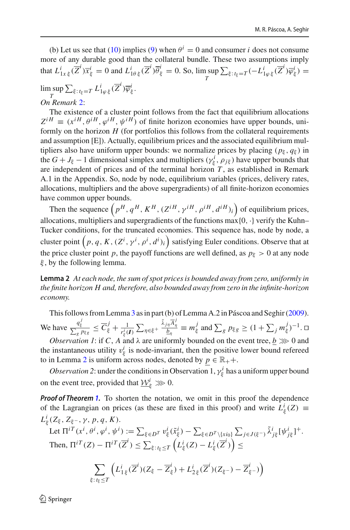(b) Let us see that [\(10\)](#page-6-1) implies [\(9\)](#page-6-0) when  $\theta^{i} = 0$  and consumer *i* does not consume more of any durable good than the collateral bundle. These two assumptions imply that  $L^i_{1x\,\xi}(\overline{Z}^i)\overline{x}^i_{\xi} = 0$  and  $L^i_{1\theta\,\xi}(\overline{Z}^i)\overline{\theta}^i_{\xi} = 0$ . So,  $\limsup_{T \to \xi} \sum_{\xi: t_{\xi}=T} (-L^i_{1\varphi\,\xi}(\overline{Z}^i)\overline{\varphi}^i_{\xi}) =$ *T*

 $\limsup_{T} \sum_{\xi: t_{\xi}=T} L_{1\varphi \xi}^{i}(\overline{Z}^{i}) \overline{\varphi}_{\xi}^{i}.$ *T On Remark* [2:](#page-6-5)

The existence of a cluster point follows from the fact that equilibrium allocations  $Z^{iH} \equiv (x^{iH}, \theta^{iH}, \phi^{iH}, \psi^{iH})$  of finite horizon economies have upper bounds, uniformly on the horizon  $H$  (for portfolios this follows from the collateral requirements and assumption [E]). Actually, equilibrium prices and the associated equilibrium multipliers also have uniform upper bounds: we normalize prices by placing  $(p_{\xi}, q_{\xi})$  in the  $G + J_{\xi} - 1$  dimensional simplex and multipliers ( $\gamma_{\xi}^{i}$ ,  $\rho_{j\xi}$ ) have upper bounds that are independent of prices and of the terminal horizon  $T$ , as established in Remark A.1 in the Appendix. So, node by node, equilibrium variables (prices, delivery rates, allocations, multipliers and the above supergradients) of all finite-horizon economies have common upper bounds.

Then the sequence  $(p^H, q^H, K^H, (Z^{iH}, \gamma^{iH}, \rho^{iH}, d^{iH})_i)$  of equilibrium prices, allocations, multipliers and supergradients of the functions  $max\{0, \cdot\}$  verify the Kuhn– Tucker conditions, for the truncated economies. This sequence has, node by node, a cluster point  $\left(p, q, K, (Z^i, \gamma^i, \rho^i, d^i)_i\right)$  satisfying Euler conditions. Observe that at the price cluster point *p*, the payoff functions are well defined, as  $p_{\xi} > 0$  at any node  $\xi$ , by the following lemma.

<span id="page-19-0"></span>**Lemma 2** *At each node, the sum of spot prices is bounded away from zero, uniformly in the finite horizon H and, therefore, also bounded away from zero in the infinite-horizon economy.*

This follows from Lemma [3](#page-20-0) as in part (b) of Lemma A.2 in Páscoa and Seghi[r](#page-23-3) [\(2009](#page-23-3)). We have  $\frac{q_{\xi}^{j}}{\sum_{g} p_{\xi g}} \leq \overline{C}_{\xi}^{j} + \frac{1}{r_{\xi}^{i}(\boldsymbol{I})} \sum_{\eta \in \xi^{+}}$  $\frac{\tilde{\lambda}_{j\eta}\overline{A}_{\eta}^{j}}{\underline{b}_{\eta}} \equiv m_{\xi}^{j}$  and  $\sum_{g} p_{\xi g} \geq (1 + \sum_{j} m_{\xi}^{j})^{-1}$ .  $\Box$ 

*Observation 1*: if *C*, *A* and  $\lambda$  are uniformly bounded on the event tree,  $b \gg 0$  and the instantaneous utility  $v_{\xi}^{i}$  is node-invariant, then the positive lower bound refereed to in Lemma [2](#page-19-0) is uniform across nodes, denoted by  $p \in \mathbb{R}_+$ .

*Observation 2*: under the conditions in Observation 1,  $\gamma_{\xi}^{i}$  has a uniform upper bound on the event tree, provided that  $\underline{\mathcal{W}}_{\xi}^{i} \gg 0$ .

*Proof of Theorem [1.](#page-6-3)* To shorten the notation, we omit in this proof the dependence of the Lagrangian on prices (as these are fixed in this proof) and write  $L^i_{\xi}(Z) \equiv$  $L^i_\xi(Z_\xi, Z_{\xi^-}, \gamma, p, q, K)$ .

Let 
$$
\Pi^{i}(\mathbf{x}^i, \theta^i, \varphi^i, \psi^i) := \sum_{\xi \in D^T} v_{\xi}^i(\tilde{x}_{\xi}^i) - \sum_{\xi \in D^T \setminus \{xi\}} \sum_{j \in J(\xi^-)} \tilde{\lambda}_{j\xi}^i [\psi_{j\xi}^i]^+
$$
  
Then,  $\Pi^{i}(\mathbf{Z}) - \Pi^{i}(\overline{\mathbf{Z}}^i) \le \sum_{\xi: t_{\xi} \le T} \left( L_{\xi}^i(\mathbf{Z}) - L_{\xi}^i(\overline{\mathbf{Z}}^i) \right) \le$ 

$$
\sum_{\xi: t_{\xi} \leq T} \left( L_{1\xi}^{i} (\overline{Z}^{i}) (Z_{\xi} - \overline{Z}_{\xi}^{i}) + L_{2\xi}^{i} (\overline{Z}^{i}) (Z_{\xi^{-}}) - \overline{Z}_{\xi^{-}}^{i}) \right)
$$

 $\textcircled{2}$  Springer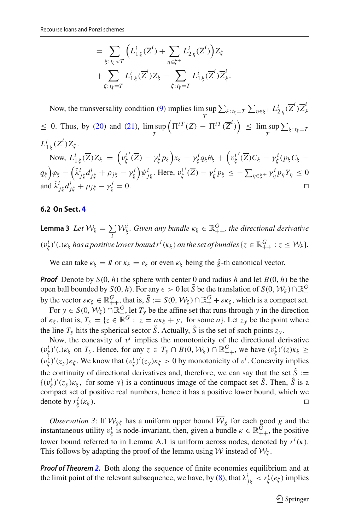$$
= \sum_{\xi: t_{\xi} < T} \left( L_{1\xi}^i(\overline{Z}^i) + \sum_{\eta \in \xi^+} L_{2\eta}^i(\overline{Z}^i) \right) Z_{\xi}
$$
  
+ 
$$
\sum_{\xi: t_{\xi} = T} L_{1\xi}^i(\overline{Z}^i) Z_{\xi} - \sum_{\xi: t_{\xi} = T} L_{1\xi}^i(\overline{Z}^i) \overline{Z}_{\xi}^i.
$$

Now, the transversality condition [\(9\)](#page-6-0) implies  $\limsup_{T} \sum_{\xi: t_{\xi}=T} \sum_{\eta \in \xi^{+}} L_{2\eta}^{i}(\overline{Z}^{i}) \overline{Z}_{\xi}^{i}$ *T*  $\leq$  0. Thus, by [\(20\)](#page-18-1) and [\(21\)](#page-18-1),  $\limsup$  $\left(\Pi^{iT}(Z) - \Pi^{iT}(\overline{Z}^i)\right) \leq \limsup_T$  $\sum_{\xi: t_{\xi}=T}$  $L_{1\xi}^i(\overline{Z}^i)Z_{\xi}$ . Now,  $L_{1\xi}^i(\overline{Z})Z_{\xi} = \left(v_{\xi}^{i'}(\overline{Z}) - \gamma_{\xi}^i p_{\xi}\right)x_{\xi} - \gamma_{\xi}^i q_{\xi} \theta_{\xi} + \left(v_{\xi}^{i'}(\overline{Z})C_{\xi} - \gamma_{\xi}^i (p_{\xi} C_{\xi} - \theta_{\xi}^i p_{\xi})\right)x_{\xi}$  $q_{\xi}$ ) $\varphi_{\xi} - \left(\tilde{\lambda}_{j\xi}^{i}d_{j\xi}^{i} + \rho_{j\xi} - \gamma_{\xi}^{i}\right)\psi_{j\xi}^{i}$ . Here,  $v_{\xi}^{i'}(\overline{Z}) - \gamma_{\xi}^{i}p_{\xi} \leq -\sum_{\eta \in \xi^{+}} \gamma_{\eta}^{i}p_{\eta}Y_{\eta} \leq 0$ and  $\tilde{\lambda}^i_{j\xi}d^i_{j\xi} + \rho_{j\xi} - \gamma^i_{\xi}$  $\zeta_{\xi}^{l} = 0.$ 

### <span id="page-20-1"></span>**6.2 On Sect. [4](#page-10-1)**

<span id="page-20-0"></span>**Lemma 3** *Let*  $W_{\xi} = \sum_{i} W_{\xi}^{i}$ . Given any bundle  $\kappa_{\xi} \in \mathbb{R}_{++}^G$ , the directional derivative  $(v_{\xi}^i)'(.)\kappa_{\xi}$  has a positive lower bound  $r^i(\kappa_{\xi})$  on the set of bundles  $\{z \in \mathbb{R}^G_{++} : z \leq \mathcal{W}_{\xi}\}.$ 

We can take  $\kappa_{\xi} = I \mathbf{I}$  or  $\kappa_{\xi} = e_{\xi}$  or even  $\kappa_{\xi}$  being the  $\hat{g}$ -th canonical vector.

*Proof* Denote by  $S(0, h)$  the sphere with center 0 and radius *h* and let  $B(0, h)$  be the open ball bounded by *S*(0, *h*). For any  $\epsilon > 0$  let  $\tilde{S}$  be the translation of *S*(0,  $\mathcal{W}_{\xi}$ ) ∩  $\mathbb{R}^G_+$ by the vector  $\varepsilon \kappa_{\xi} \in \mathbb{R}^G_+$ , that is,  $\tilde{S} := S(0, \mathcal{W}_{\xi}) \cap \mathbb{R}^G_+ + \varepsilon \kappa_{\xi}$ , which is a compact set.

For  $y \in S(0, \mathcal{W}_\xi) \cap \mathbb{R}^G_+$ , let  $T_y$  be the affine set that runs through y in the direction of  $\kappa_{\xi}$ , that is,  $T_y = \{z \in \mathbb{R}^G : z = a\kappa_{\xi} + y$ , for some *a*}. Let  $z_y$  be the point where the line  $T_v$  hits the spherical sector  $\tilde{S}$ . Actually,  $\tilde{S}$  is the set of such points  $z_v$ .

Now, the concavity of  $v^i$  implies the monotonicity of the directional derivative  $(v_{\xi}^i)'(.)\kappa_{\xi}$  on  $T_y$ . Hence, for any  $z \in T_y \cap B(0, \mathcal{W}_{\xi}) \cap \mathbb{R}^G_{++}$ , we have  $(v_{\xi}^i)'(z)\kappa_{\xi} \ge$  $(v^i_\xi)'(z_y)\kappa_\xi$ . We know that  $(v^i_\xi)'(z_y)\kappa_\xi > 0$  by monotonicity of  $v^i$ . Concavity implies the continuity of directional derivatives and, therefore, we can say that the set  $\hat{S}$  :=  $\{(v_{\xi}^{i})'(z_{y})\kappa_{\xi}, \text{ for some } y\}$  is a continuous image of the compact set  $\tilde{S}$ . Then,  $\hat{S}$  is a compact set of positive real numbers, hence it has a positive lower bound, which we denote by  $r^i_\xi(\kappa_\xi)$ .  $\frac{l}{\xi}(\kappa_{\xi})$ .

*Observation 3*: If  $W_{g\xi}$  has a uniform upper bound  $\overline{W}_g$  for each good *g* and the instantaneous utility  $v_{\xi}^{i}$  is node-invariant, then, given a bundle  $\kappa \in \mathbb{R}_{++}^{G}$ , the positive lower bound referred to in Lemma A.1 is uniform across nodes, denoted by  $r^i(\kappa)$ . This follows by adapting the proof of the lemma using  $\overline{W}$  instead of  $W_{\xi}$ .

*Proof of Theorem [2.](#page-10-0)* Both along the sequence of finite economies equilibrium and at the limit point of the relevant subsequence, we have, by [\(8\)](#page-5-3), that  $\lambda^i_{\ j\xi} < r^i_{\xi}(e_{\xi})$  implies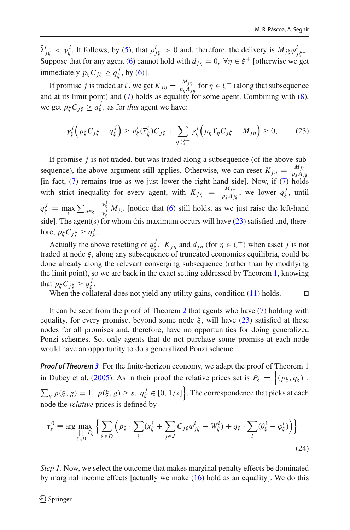$\tilde{\lambda}^i_{j\xi} < \gamma^i_{\xi}$ . It follows, by [\(5\)](#page-5-3), that  $\rho^i_{j\xi} > 0$  and, therefore, the delivery is  $M_{j\xi}\varphi^i_{j\xi}$ . Suppose that for any agent [\(6\)](#page-5-3) cannot hold with  $d_{in} = 0$ ,  $\forall \eta \in \xi^+$  [otherwise we get immediately  $p_{\xi} C_{j\xi} \ge q_{\xi}^{j}$ , by [\(6\)](#page-5-3)].

If promise *j* is traded at  $\xi$ , we get  $K_{j\eta} = \frac{M_{j\eta}}{p_{\eta}A_{j\eta}}$  for  $\eta \in \xi^+$  (along that subsequence and at its limit point) and  $(7)$  holds as equality for some agent. Combining with  $(8)$ , we get  $p_{\xi}C_{j\xi} \ge q_{\xi}^{j}$ , as for *this* agent we have:

<span id="page-21-0"></span>
$$
\gamma_{\xi}^{i}\left(p_{\xi}C_{j\xi}-q_{\xi}^{j}\right)\geq v_{\xi}'(\overline{x}_{\xi}^{i})C_{j\xi}+\sum_{\eta\in\xi^{+}}\gamma_{\eta}^{i}\left(p_{\eta}Y_{\eta}C_{j\xi}-M_{j\eta}\right)\geq 0,\qquad(23)
$$

If promise *j* is not traded, but was traded along a subsequence (of the above subsequence), the above argument still applies. Otherwise, we can reset  $K_{j\eta} = \frac{M_{j\eta}}{p_{\xi}A_{j\xi}}$ [in fact, [\(7\)](#page-5-3) remains true as we just lower the right hand side]. Now, if [\(7\)](#page-5-3) holds with strict inequality for every agent, with  $K_{j\eta} = \frac{M_{j\eta}}{p_{\xi}A_{j\xi}}$ , we lower  $q_{\xi}^{j}$ , until  $q_{\xi}^{j} = \max_{i} \sum_{\eta \in \xi^{+}}$  $\frac{\gamma_{\eta}^{i}}{\gamma_{\xi}^{i}} M_{j\eta}$  [notice that [\(6\)](#page-5-3) still holds, as we just raise the left-hand side]. The agent(s) for whom this maximum occurs will have [\(23\)](#page-21-0) satisfied and, therefore,  $p_{\xi} C_{j\xi} \ge q_{\xi}^{j}$ .

Actually the above resetting of  $q_{\xi}^{j}$ ,  $K_{j\eta}$  and  $d_{j\eta}$  (for  $\eta \in \xi^{+}$ ) when asset *j* is not traded at node  $\xi$ , along any subsequence of truncated economies equilibria, could be done already along the relevant converging subsequence (rather than by modifying the limit point), so we are back in the exact setting addressed by Theorem [1,](#page-6-3) knowing that  $p_{\xi} C_{j\xi} \geq q_{\xi}^{j}$ .

When the collateral does not yield any utility gains, condition [\(11\)](#page-7-0) holds.  $\square$ 

It can be seen from the proof of Theorem [2](#page-10-0) that agents who have [\(7\)](#page-5-3) holding with equality, for every promise, beyond some node  $\xi$ , will have [\(23\)](#page-21-0) satisfied at these nodes for all promises and, therefore, have no opportunities for doing generalized Ponzi schemes. So, only agents that do not purchase some promise at each node would have an opportunity to do a generalized Ponzi scheme.

*Proof of Theorem [3](#page-14-0)* For the finite-horizon economy, we adapt the proof of Theorem 1 in Dubey et al[.](#page-23-0) [\(2005\)](#page-23-0). As in their proof the relative prices set is  $P_{\xi} = \{(p_{\xi}, q_{\xi}) :$  $\sum_{g} p(\xi, g) = 1$ ,  $p(\xi, g) \geq s$ ,  $q_{\xi}^{j} \in [0, 1/s]$ . The correspondence that picks at each node the *relative* prices is defined by

$$
\tau_s^0 \equiv \arg \max_{\substack{\prod_{\xi \in D} P_{\xi}}} \left\{ \sum_{\xi \in D} \left( p_{\xi} \cdot \sum_i (x_{\xi}^i + \sum_{j \in J} C_{j\xi} \varphi_{j\xi}^i - W_{\xi}^i) + q_{\xi} \cdot \sum_i (\theta_{\xi}^i - \varphi_{\xi}^i) \right) \right\}
$$
(24)

*Step 1.* Now, we select the outcome that makes marginal penalty effects be dominated by marginal income effects [actually we make [\(16\)](#page-14-4) hold as an equality]. We do this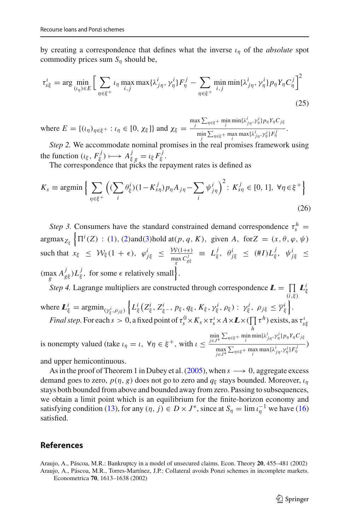by creating a correspondence that defines what the inverse  $\iota_n$  of the *absolute* spot commodity prices sum  $S_n$  should be,

$$
\tau_{s\xi}^i = \arg\min_{(i_\eta)\in E} \Big[ \sum_{\eta\in\xi^+} \iota_\eta \max_{i,j} \max\{\lambda_{j\eta}^i, \gamma_\eta^i\} F_\eta^j - \sum_{\eta\in\xi^+} \min_{i,j} \min\{\lambda_{j\eta}^i, \gamma_\eta^i\} p_\eta Y_\eta C_\eta^j \Big]^2 \tag{25}
$$

where  $E = \{(u_{\eta})_{\eta \in \xi^+} : u_{\eta} \in [0, \chi_{\xi}]\}$  and  $\chi_{\xi} =$  $\max_{j} \sum_{\eta \in \xi^+} \min_{i} \min\{\lambda^i_{j\eta}, \gamma^i_{\eta}\} p_{\eta} Y_{\eta} C_{j\xi}$  $\lim_{j} \sum_{\eta \in \xi^+} \max_i \max\{\lambda^i_{j\eta}, \gamma^i_{\eta}\} F^j_{\eta}$ .

*Step 2.* We accommodate nominal promises in the real promises framework using the function  $(\iota_{\xi}, F_{\xi}^{j}) \longmapsto A_{\xi g}^{j} = \iota_{\xi} F_{\xi}^{j}.$ 

The correspondence that picks the repayment rates is defined as

$$
K_s \equiv \operatorname{argmin} \left\{ \sum_{\eta \in \xi^+} \left( (\sum_i \theta_{\xi}^i)(1 - K_{s\eta}^j) p_\eta A_{j\eta} - \sum_i \psi_{j\eta}^i \right)^2 : K_{s\eta}^j \in [0, 1], \ \forall \eta \in \xi^+ \right\}
$$
(26)

*Step 3.* Consumers have the standard constrained demand correspondence  $\tau_s^h$  $\argmax_{Z_{\xi}} \left\{ \Pi^{i}(Z) : (1), (2) \text{ and } (3) \text{ hold at}(p, q, K), \text{ given } A, \text{ for } Z = (x, \theta, \varphi, \psi) \right\}$  $\argmax_{Z_{\xi}} \left\{ \Pi^{i}(Z) : (1), (2) \text{ and } (3) \text{ hold at}(p, q, K), \text{ given } A, \text{ for } Z = (x, \theta, \varphi, \psi) \right\}$  $\argmax_{Z_{\xi}} \left\{ \Pi^{i}(Z) : (1), (2) \text{ and } (3) \text{ hold at}(p, q, K), \text{ given } A, \text{ for } Z = (x, \theta, \varphi, \psi) \right\}$  $\argmax_{Z_{\xi}} \left\{ \Pi^{i}(Z) : (1), (2) \text{ and } (3) \text{ hold at}(p, q, K), \text{ given } A, \text{ for } Z = (x, \theta, \varphi, \psi) \right\}$  $\argmax_{Z_{\xi}} \left\{ \Pi^{i}(Z) : (1), (2) \text{ and } (3) \text{ hold at}(p, q, K), \text{ given } A, \text{ for } Z = (x, \theta, \varphi, \psi) \right\}$  $\argmax_{Z_{\xi}} \left\{ \Pi^{i}(Z) : (1), (2) \text{ and } (3) \text{ hold at}(p, q, K), \text{ given } A, \text{ for } Z = (x, \theta, \varphi, \psi) \right\}$  $\argmax_{Z_{\xi}} \left\{ \Pi^{i}(Z) : (1), (2) \text{ and } (3) \text{ hold at}(p, q, K), \text{ given } A, \text{ for } Z = (x, \theta, \varphi, \psi) \right\}$ such that  $x_{\xi} \leq W_{\xi}(1+\epsilon), \quad \varphi_{j\xi}^{i} \leq \frac{W(1+\epsilon)}{\max_{g} C_{g\xi}^{j}} \equiv L_{\xi}^{j}, \quad \theta_{j\xi}^{i} \leq (\#I)L_{\xi}^{j}, \quad \psi_{j\xi}^{i} \leq$  $(\max_{g} A_{g\xi}^{j}) L_{\xi}^{j}, \text{ for some } \epsilon \text{ relatively small}$ . *g*

*Step 4.* Lagrange multipliers are constructed through correspondence  $\mathbf{L} = \prod_{(i,\xi)}$ *ILi* ξ where  $\mathbf{L}_{\xi}^{i} = \operatorname{argmin}_{(\gamma_{\xi}^{i}, \rho_{j\xi})}$  $\left\{ L^i_\xi \left( Z^i_\xi, Z^i_{\xi^-}, p_\xi, q_\xi, K_\xi, \gamma^i_\xi, \rho_\xi \right) : \gamma^i_\xi, \rho_{j\xi} \leq \overline{\gamma^i_\xi} \right\}.$ *Final step.* For each  $s > 0$ , a fixed point of  $\tau_s^0 \times K_s \times \tau_s^t \times A \times I \times (\prod_i \tau^h)$  exists, as  $\tau_{s\xi}^t$ *h* is nonempty valued (take  $\iota_{\eta} = \iota$ ,  $\forall \eta \in \xi^+$ , with  $\iota \leq$  $\min_{j \in J^*} \sum_{\eta \in \xi^+} \min_i \min\{\lambda^i_{j\eta}, \gamma^i_{\eta}\} p_{\eta} Y_{\eta} C_{j\xi}$  $\left(\frac{\max\limits_{j\in J^*}\sum_{\eta\in \xi^+}\max\limits_{i}\max\{\lambda^i_{j\eta},\gamma^i_{\eta}\}F_{\eta}^j\}}{\max\limits_{j\in J^*}\right)$ 

and upper hemicontinuous.

As in the proof of Theorem 1 in Dubey et al[.](#page-23-0) [\(2005\)](#page-23-0), when *s* −→ 0, aggregate excess demand goes to zero,  $p(\eta, g)$  does not go to zero and  $q_{\xi}$  stays bounded. Moreover,  $\iota_n$ stays both bounded from above and bounded away from zero. Passing to subsequences, we obtain a limit point which is an equilibrium for the finite-horizon economy and satisfying condition [\(13\)](#page-11-0), for any  $(\eta, j) \in D \times J^*$ , since at  $S_\eta = \lim_{\eta \to 0} \iota_{\eta}^{-1}$  we have [\(16\)](#page-14-4) satisfied.

# **References**

<span id="page-22-1"></span><span id="page-22-0"></span>Araujo, A., Páscoa, M.R.: Bankruptcy in a model of unsecured claims. Econ. Theory **20**, 455–481 (2002) Araujo, A., Páscoa, M.R., Torres-Martínez, J.P.: Collateral avoids Ponzi schemes in incomplete markets. Econometrica **70**, 1613–1638 (2002)